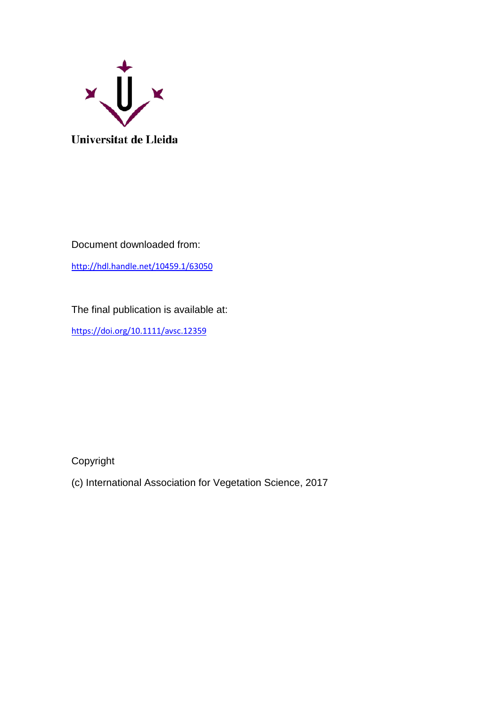

Document downloaded from:

<http://hdl.handle.net/10459.1/63050>

The final publication is available at:

<https://doi.org/10.1111/avsc.12359>

Copyright

(c) International Association for Vegetation Science, 2017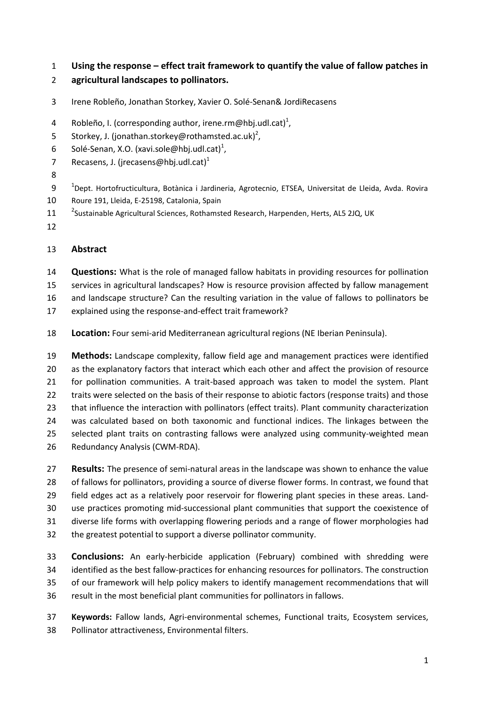- **Using the response – effect trait framework to quantify the value of fallow patches in**
- **agricultural landscapes to pollinators.**
- Irene Robleño, Jonathan Storkey, Xavier O. Solé-Senan& JordiRecasens
- 4 Robleño, I. (corresponding author, irene.rm@hbj.udl.cat)<sup>1</sup>,
- 5 Storkey, J. (jonathan.storkey@rothamsted.ac.uk)<sup>2</sup>,
- 6 Solé-Senan, X.O. (xavi.sole@hbj.udl.cat)<sup>1</sup>,
- Recasens, J. (jrecasens@hbj.udl.cat)<sup>1</sup>
- 
- 9 <sup>1</sup> Dept. Hortofructicultura, Botànica i Jardineria, Agrotecnio, ETSEA, Universitat de Lleida, Avda. Rovira Roure 191, Lleida, E-25198, Catalonia, Spain
- 11 <sup>2</sup>Sustainable Agricultural Sciences, Rothamsted Research, Harpenden, Herts, AL5 2JQ, UK
- 

# **Abstract**

 **Questions:** What is the role of managed fallow habitats in providing resources for pollination services in agricultural landscapes? How is resource provision affected by fallow management and landscape structure? Can the resulting variation in the value of fallows to pollinators be

- explained using the response-and-effect trait framework?
- **Location:** Four semi-arid Mediterranean agricultural regions (NE Iberian Peninsula).

 **Methods:** Landscape complexity, fallow field age and management practices were identified 20 as the explanatory factors that interact which each other and affect the provision of resource for pollination communities. A trait-based approach was taken to model the system. Plant 22 traits were selected on the basis of their response to abiotic factors (response traits) and those 23 that influence the interaction with pollinators (effect traits). Plant community characterization was calculated based on both taxonomic and functional indices. The linkages between the selected plant traits on contrasting fallows were analyzed using community-weighted mean Redundancy Analysis (CWM-RDA).

- **Results:** The presence of semi-natural areas in the landscape was shown to enhance the value of fallows for pollinators, providing a source of diverse flower forms. In contrast, we found that field edges act as a relatively poor reservoir for flowering plant species in these areas. Land- use practices promoting mid-successional plant communities that support the coexistence of diverse life forms with overlapping flowering periods and a range of flower morphologies had the greatest potential to support a diverse pollinator community.
- **Conclusions:** An early-herbicide application (February) combined with shredding were identified as the best fallow-practices for enhancing resources for pollinators. The construction of our framework will help policy makers to identify management recommendations that will result in the most beneficial plant communities for pollinators in fallows.
- **Keywords:** Fallow lands, Agri-environmental schemes, Functional traits, Ecosystem services, Pollinator attractiveness, Environmental filters.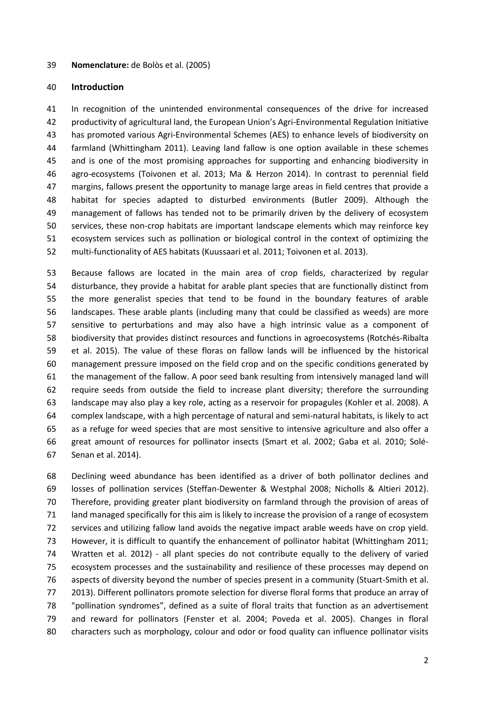#### **Nomenclature:** de Bolòs et al. (2005)

#### **Introduction**

 In recognition of the unintended environmental consequences of the drive for increased productivity of agricultural land, the European Union's Agri-Environmental Regulation Initiative has promoted various Agri-Environmental Schemes (AES) to enhance levels of biodiversity on farmland (Whittingham 2011). Leaving land fallow is one option available in these schemes and is one of the most promising approaches for supporting and enhancing biodiversity in agro-ecosystems (Toivonen et al. 2013; Ma & Herzon 2014). In contrast to perennial field margins, fallows present the opportunity to manage large areas in field centres that provide a habitat for species adapted to disturbed environments (Butler 2009). Although the management of fallows has tended not to be primarily driven by the delivery of ecosystem services, these non-crop habitats are important landscape elements which may reinforce key ecosystem services such as pollination or biological control in the context of optimizing the multi-functionality of AES habitats (Kuussaari et al. 2011; Toivonen et al. 2013).

 Because fallows are located in the main area of crop fields, characterized by regular disturbance, they provide a habitat for arable plant species that are functionally distinct from the more generalist species that tend to be found in the boundary features of arable landscapes. These arable plants (including many that could be classified as weeds) are more sensitive to perturbations and may also have a high intrinsic value as a component of biodiversity that provides distinct resources and functions in agroecosystems (Rotchés-Ribalta et al. 2015). The value of these floras on fallow lands will be influenced by the historical management pressure imposed on the field crop and on the specific conditions generated by the management of the fallow. A poor seed bank resulting from intensively managed land will require seeds from outside the field to increase plant diversity; therefore the surrounding landscape may also play a key role, acting as a reservoir for propagules (Kohler et al. 2008). A complex landscape, with a high percentage of natural and semi-natural habitats, is likely to act as a refuge for weed species that are most sensitive to intensive agriculture and also offer a great amount of resources for pollinator insects (Smart et al. 2002; Gaba et al. 2010; Solé-Senan et al. 2014).

 Declining weed abundance has been identified as a driver of both pollinator declines and losses of pollination services (Steffan-Dewenter & Westphal 2008; Nicholls & Altieri 2012). Therefore, providing greater plant biodiversity on farmland through the provision of areas of land managed specifically for this aim is likely to increase the provision of a range of ecosystem services and utilizing fallow land avoids the negative impact arable weeds have on crop yield. However, it is difficult to quantify the enhancement of pollinator habitat (Whittingham 2011; Wratten et al. 2012) - all plant species do not contribute equally to the delivery of varied ecosystem processes and the sustainability and resilience of these processes may depend on aspects of diversity beyond the number of species present in a community (Stuart-Smith et al. 2013). Different pollinators promote selection for diverse floral forms that produce an array of "pollination syndromes", defined as a suite of floral traits that function as an advertisement and reward for pollinators (Fenster et al. 2004; Poveda et al. 2005). Changes in floral characters such as morphology, colour and odor or food quality can influence pollinator visits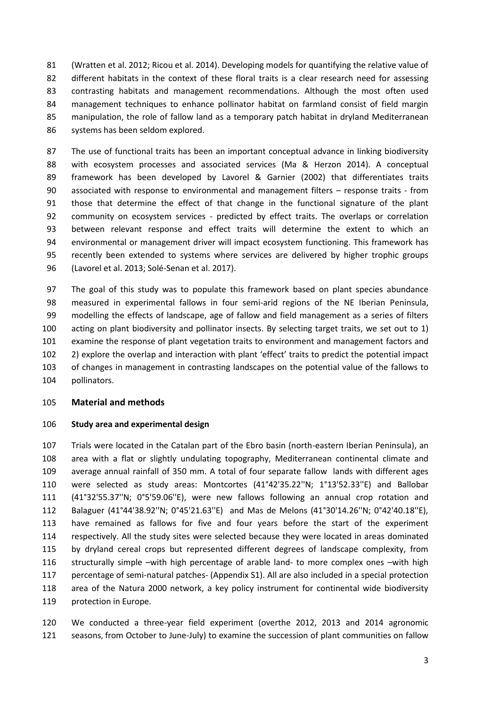(Wratten et al. 2012; Ricou et al. 2014). Developing models for quantifying the relative value of 82 different habitats in the context of these floral traits is a clear research need for assessing contrasting habitats and management recommendations. Although the most often used management techniques to enhance pollinator habitat on farmland consist of field margin manipulation, the role of fallow land as a temporary patch habitat in dryland Mediterranean systems has been seldom explored.

 The use of functional traits has been an important conceptual advance in linking biodiversity with ecosystem processes and associated services (Ma & Herzon 2014). A conceptual framework has been developed by Lavorel & Garnier (2002) that differentiates traits associated with response to environmental and management filters – response traits - from those that determine the effect of that change in the functional signature of the plant community on ecosystem services - predicted by effect traits. The overlaps or correlation between relevant response and effect traits will determine the extent to which an environmental or management driver will impact ecosystem functioning. This framework has recently been extended to systems where services are delivered by higher trophic groups (Lavorel et al. 2013; Solé-Senan et al. 2017).

 The goal of this study was to populate this framework based on plant species abundance measured in experimental fallows in four semi-arid regions of the NE Iberian Peninsula, modelling the effects of landscape, age of fallow and field management as a series of filters acting on plant biodiversity and pollinator insects. By selecting target traits, we set out to 1) examine the response of plant vegetation traits to environment and management factors and 2) explore the overlap and interaction with plant 'effect' traits to predict the potential impact of changes in management in contrasting landscapes on the potential value of the fallows to pollinators.

## **Material and methods**

## **Study area and experimental design**

 Trials were located in the Catalan part of the Ebro basin (north-eastern Iberian Peninsula), an area with a flat or slightly undulating topography, Mediterranean continental climate and average annual rainfall of 350 mm. A total of four separate fallow lands with different ages were selected as study areas: Montcortes (41°42'35.22''N; 1°13'52.33''E) and Ballobar (41°32'55.37''N; 0°5'59.06''E), were new fallows following an annual crop rotation and Balaguer (41°44'38.92''N; 0°45'21.63''E) and Mas de Melons (41°30'14.26''N; 0°42'40.18''E), have remained as fallows for five and four years before the start of the experiment respectively. All the study sites were selected because they were located in areas dominated by dryland cereal crops but represented different degrees of landscape complexity, from structurally simple –with high percentage of arable land- to more complex ones –with high percentage of semi-natural patches- (Appendix S1). All are also included in a special protection area of the Natura 2000 network, a key policy instrument for continental wide biodiversity protection in Europe.

 We conducted a three-year field experiment (overthe 2012, 2013 and 2014 agronomic seasons, from October to June-July) to examine the succession of plant communities on fallow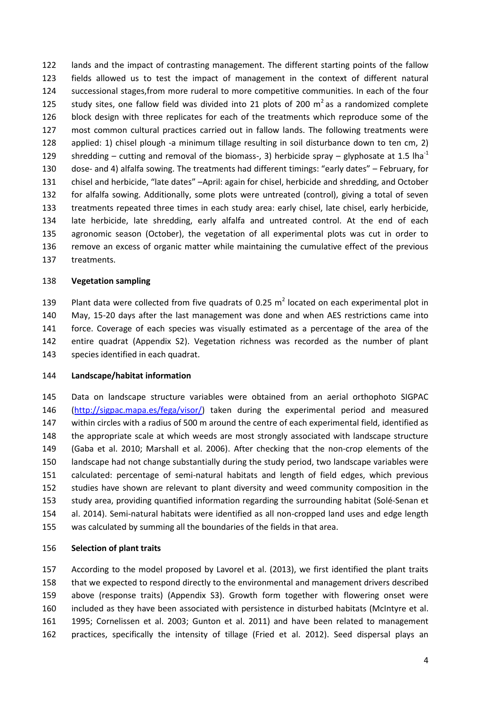lands and the impact of contrasting management. The different starting points of the fallow fields allowed us to test the impact of management in the context of different natural successional stages,from more ruderal to more competitive communities. In each of the four 125 study sites, one fallow field was divided into 21 plots of 200  $m^2$  as a randomized complete block design with three replicates for each of the treatments which reproduce some of the most common cultural practices carried out in fallow lands. The following treatments were applied: 1) chisel plough -a minimum tillage resulting in soil disturbance down to ten cm, 2) shredding – cutting and removal of the biomass-, 3) herbicide spray – glyphosate at 1.5 lha<sup>-1</sup> dose- and 4) alfalfa sowing. The treatments had different timings: "early dates" – February, for chisel and herbicide, "late dates" –April: again for chisel, herbicide and shredding, and October for alfalfa sowing. Additionally, some plots were untreated (control), giving a total of seven treatments repeated three times in each study area: early chisel, late chisel, early herbicide, late herbicide, late shredding, early alfalfa and untreated control. At the end of each agronomic season (October), the vegetation of all experimental plots was cut in order to remove an excess of organic matter while maintaining the cumulative effect of the previous treatments.

## **Vegetation sampling**

139 Plant data were collected from five quadrats of 0.25  $m^2$  located on each experimental plot in May, 15-20 days after the last management was done and when AES restrictions came into force. Coverage of each species was visually estimated as a percentage of the area of the entire quadrat (Appendix S2). Vegetation richness was recorded as the number of plant species identified in each quadrat.

## **Landscape/habitat information**

 Data on landscape structure variables were obtained from an aerial orthophoto SIGPAC [\(http://sigpac.mapa.es/fega/visor/\)](http://sigpac.mapa.es/fega/visor/) taken during the experimental period and measured within circles with a radius of 500 m around the centre of each experimental field, identified as the appropriate scale at which weeds are most strongly associated with landscape structure (Gaba et al. 2010; Marshall et al. 2006). After checking that the non-crop elements of the landscape had not change substantially during the study period, two landscape variables were calculated: percentage of semi-natural habitats and length of field edges, which previous studies have shown are relevant to plant diversity and weed community composition in the study area, providing quantified information regarding the surrounding habitat (Solé-Senan et al. 2014). Semi-natural habitats were identified as all non-cropped land uses and edge length was calculated by summing all the boundaries of the fields in that area.

## **Selection of plant traits**

 According to the model proposed by Lavorel et al. (2013), we first identified the plant traits that we expected to respond directly to the environmental and management drivers described above (response traits) (Appendix S3). Growth form together with flowering onset were included as they have been associated with persistence in disturbed habitats (McIntyre et al. 1995; Cornelissen et al. 2003; Gunton et al. 2011) and have been related to management practices, specifically the intensity of tillage (Fried et al. 2012). Seed dispersal plays an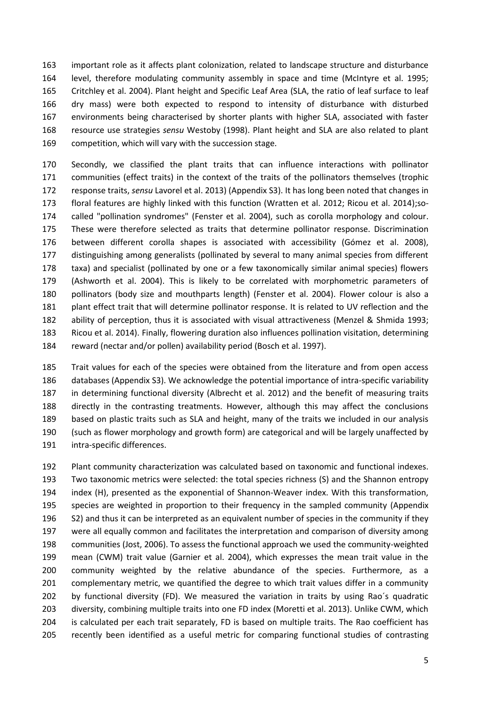important role as it affects plant colonization, related to landscape structure and disturbance level, therefore modulating community assembly in space and time (McIntyre et al. 1995; Critchley et al. 2004). Plant height and Specific Leaf Area (SLA, the ratio of leaf surface to leaf dry mass) were both expected to respond to intensity of disturbance with disturbed environments being characterised by shorter plants with higher SLA, associated with faster resource use strategies *sensu* Westoby (1998). Plant height and SLA are also related to plant competition, which will vary with the succession stage.

 Secondly, we classified the plant traits that can influence interactions with pollinator communities (effect traits) in the context of the traits of the pollinators themselves (trophic response traits, *sensu* Lavorel et al. 2013) (Appendix S3). It has long been noted that changes in floral features are highly linked with this function (Wratten et al. 2012; Ricou et al. 2014);so- called "pollination syndromes" (Fenster et al. 2004), such as corolla morphology and colour. These were therefore selected as traits that determine pollinator response. Discrimination between different corolla shapes is associated with accessibility (Gómez et al. 2008), distinguishing among generalists (pollinated by several to many animal species from different taxa) and specialist (pollinated by one or a few taxonomically similar animal species) flowers (Ashworth et al. 2004). This is likely to be correlated with morphometric parameters of pollinators (body size and mouthparts length) (Fenster et al. 2004). Flower colour is also a plant effect trait that will determine pollinator response. It is related to UV reflection and the ability of perception, thus it is associated with visual attractiveness (Menzel & Shmida 1993; Ricou et al. 2014). Finally, flowering duration also influences pollination visitation, determining reward (nectar and/or pollen) availability period (Bosch et al. 1997).

 Trait values for each of the species were obtained from the literature and from open access databases (Appendix S3). We acknowledge the potential importance of intra-specific variability in determining functional diversity (Albrecht et al. 2012) and the benefit of measuring traits directly in the contrasting treatments. However, although this may affect the conclusions based on plastic traits such as SLA and height, many of the traits we included in our analysis (such as flower morphology and growth form) are categorical and will be largely unaffected by intra-specific differences.

 Plant community characterization was calculated based on taxonomic and functional indexes. Two taxonomic metrics were selected: the total species richness (S) and the Shannon entropy index (H), presented as the exponential of Shannon-Weaver index. With this transformation, species are weighted in proportion to their frequency in the sampled community (Appendix S2) and thus it can be interpreted as an equivalent number of species in the community if they were all equally common and facilitates the interpretation and comparison of diversity among communities (Jost, 2006). To assess the functional approach we used the community-weighted mean (CWM) trait value (Garnier et al. 2004), which expresses the mean trait value in the community weighted by the relative abundance of the species. Furthermore, as a 201 complementary metric, we quantified the degree to which trait values differ in a community by functional diversity (FD). We measured the variation in traits by using Rao´s quadratic diversity, combining multiple traits into one FD index (Moretti et al. 2013). Unlike CWM, which is calculated per each trait separately, FD is based on multiple traits. The Rao coefficient has recently been identified as a useful metric for comparing functional studies of contrasting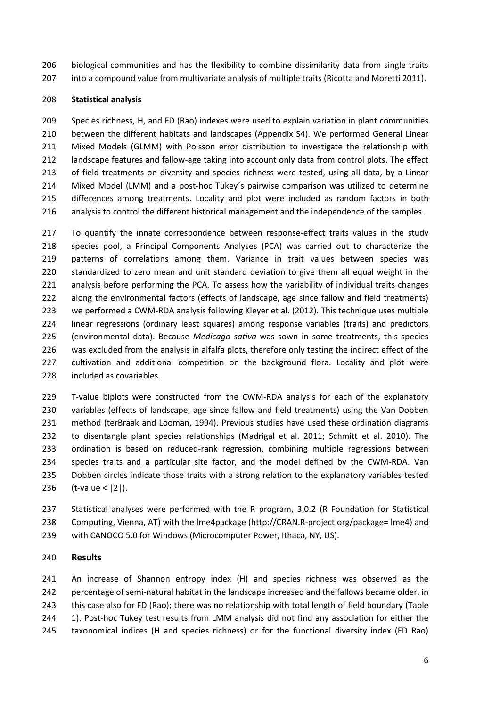- biological communities and has the flexibility to combine dissimilarity data from single traits
- 207 into a compound value from multivariate analysis of multiple traits (Ricotta and Moretti 2011).

# **Statistical analysis**

 Species richness, H, and FD (Rao) indexes were used to explain variation in plant communities between the different habitats and landscapes (Appendix S4). We performed General Linear Mixed Models (GLMM) with Poisson error distribution to investigate the relationship with landscape features and fallow-age taking into account only data from control plots. The effect 213 of field treatments on diversity and species richness were tested, using all data, by a Linear Mixed Model (LMM) and a post-hoc Tukey´s pairwise comparison was utilized to determine differences among treatments. Locality and plot were included as random factors in both analysis to control the different historical management and the independence of the samples.

 To quantify the innate correspondence between response-effect traits values in the study species pool, a Principal Components Analyses (PCA) was carried out to characterize the patterns of correlations among them. Variance in trait values between species was standardized to zero mean and unit standard deviation to give them all equal weight in the analysis before performing the PCA. To assess how the variability of individual traits changes along the environmental factors (effects of landscape, age since fallow and field treatments) we performed a CWM-RDA analysis following Kleyer et al. (2012). This technique uses multiple linear regressions (ordinary least squares) among response variables (traits) and predictors (environmental data). Because *Medicago sativa* was sown in some treatments, this species was excluded from the analysis in alfalfa plots, therefore only testing the indirect effect of the cultivation and additional competition on the background flora. Locality and plot were included as covariables.

 T-value biplots were constructed from the CWM-RDA analysis for each of the explanatory variables (effects of landscape, age since fallow and field treatments) using the Van Dobben method (terBraak and Looman, 1994). Previous studies have used these ordination diagrams to disentangle plant species relationships (Madrigal et al. 2011; Schmitt et al. 2010). The ordination is based on reduced-rank regression, combining multiple regressions between species traits and a particular site factor, and the model defined by the CWM-RDA. Van Dobben circles indicate those traits with a strong relation to the explanatory variables tested (t-value < |2|).

 Statistical analyses were performed with the R program, 3.0.2 (R Foundation for Statistical Computing, Vienna, AT) with the lme4package (http://CRAN.R-project.org/package= lme4) and with CANOCO 5.0 for Windows (Microcomputer Power, Ithaca, NY, US).

## **Results**

 An increase of Shannon entropy index (H) and species richness was observed as the percentage of semi-natural habitat in the landscape increased and the fallows became older, in this case also for FD (Rao); there was no relationship with total length of field boundary (Table 244 1). Post-hoc Tukey test results from LMM analysis did not find any association for either the taxonomical indices (H and species richness) or for the functional diversity index (FD Rao)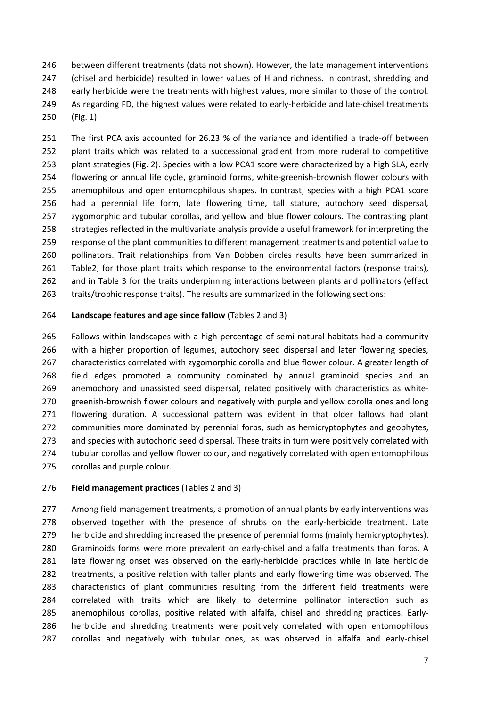between different treatments (data not shown). However, the late management interventions 247 (chisel and herbicide) resulted in lower values of H and richness. In contrast, shredding and early herbicide were the treatments with highest values, more similar to those of the control. As regarding FD, the highest values were related to early-herbicide and late-chisel treatments (Fig. 1).

 The first PCA axis accounted for 26.23 % of the variance and identified a trade-off between 252 plant traits which was related to a successional gradient from more ruderal to competitive plant strategies (Fig. 2). Species with a low PCA1 score were characterized by a high SLA, early flowering or annual life cycle, graminoid forms, white-greenish-brownish flower colours with anemophilous and open entomophilous shapes. In contrast, species with a high PCA1 score had a perennial life form, late flowering time, tall stature, autochory seed dispersal, zygomorphic and tubular corollas, and yellow and blue flower colours. The contrasting plant strategies reflected in the multivariate analysis provide a useful framework for interpreting the response of the plant communities to different management treatments and potential value to pollinators. Trait relationships from Van Dobben circles results have been summarized in Table2, for those plant traits which response to the environmental factors (response traits), and in Table 3 for the traits underpinning interactions between plants and pollinators (effect traits/trophic response traits). The results are summarized in the following sections:

## **Landscape features and age since fallow** (Tables 2 and 3)

 Fallows within landscapes with a high percentage of semi-natural habitats had a community with a higher proportion of legumes, autochory seed dispersal and later flowering species, 267 characteristics correlated with zygomorphic corolla and blue flower colour. A greater length of field edges promoted a community dominated by annual graminoid species and an anemochory and unassisted seed dispersal, related positively with characteristics as white- greenish-brownish flower colours and negatively with purple and yellow corolla ones and long flowering duration. A successional pattern was evident in that older fallows had plant communities more dominated by perennial forbs, such as hemicryptophytes and geophytes, and species with autochoric seed dispersal. These traits in turn were positively correlated with 274 tubular corollas and yellow flower colour, and negatively correlated with open entomophilous corollas and purple colour.

## **Field management practices** (Tables 2 and 3)

277 Among field management treatments, a promotion of annual plants by early interventions was 278 observed together with the presence of shrubs on the early-herbicide treatment. Late herbicide and shredding increased the presence of perennial forms (mainly hemicryptophytes). Graminoids forms were more prevalent on early-chisel and alfalfa treatments than forbs. A late flowering onset was observed on the early-herbicide practices while in late herbicide treatments, a positive relation with taller plants and early flowering time was observed. The characteristics of plant communities resulting from the different field treatments were correlated with traits which are likely to determine pollinator interaction such as anemophilous corollas, positive related with alfalfa, chisel and shredding practices. Early- herbicide and shredding treatments were positively correlated with open entomophilous corollas and negatively with tubular ones, as was observed in alfalfa and early-chisel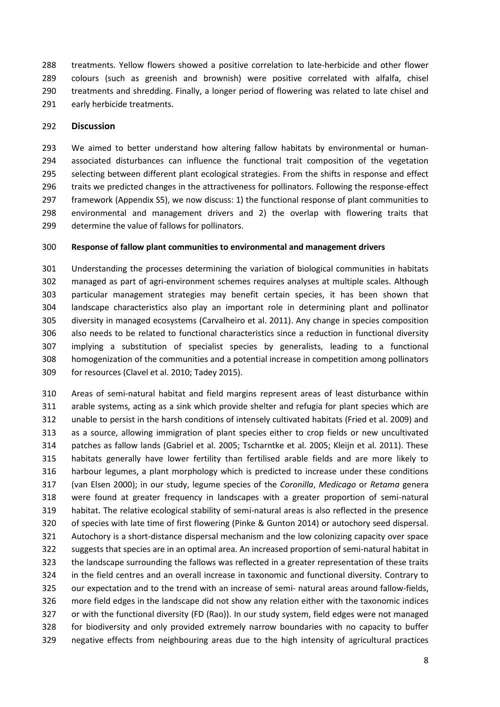treatments. Yellow flowers showed a positive correlation to late-herbicide and other flower colours (such as greenish and brownish) were positive correlated with alfalfa, chisel treatments and shredding. Finally, a longer period of flowering was related to late chisel and early herbicide treatments.

#### **Discussion**

 We aimed to better understand how altering fallow habitats by environmental or human- associated disturbances can influence the functional trait composition of the vegetation selecting between different plant ecological strategies. From the shifts in response and effect traits we predicted changes in the attractiveness for pollinators. Following the response-effect framework (Appendix S5), we now discuss: 1) the functional response of plant communities to environmental and management drivers and 2) the overlap with flowering traits that determine the value of fallows for pollinators.

#### **Response of fallow plant communities to environmental and management drivers**

 Understanding the processes determining the variation of biological communities in habitats managed as part of agri-environment schemes requires analyses at multiple scales. Although particular management strategies may benefit certain species, it has been shown that landscape characteristics also play an important role in determining plant and pollinator diversity in managed ecosystems (Carvalheiro et al. 2011). Any change in species composition also needs to be related to functional characteristics since a reduction in functional diversity implying a substitution of specialist species by generalists, leading to a functional homogenization of the communities and a potential increase in competition among pollinators for resources (Clavel et al. 2010; Tadey 2015).

 Areas of semi-natural habitat and field margins represent areas of least disturbance within arable systems, acting as a sink which provide shelter and refugia for plant species which are unable to persist in the harsh conditions of intensely cultivated habitats (Fried et al. 2009) and as a source, allowing immigration of plant species either to crop fields or new uncultivated patches as fallow lands (Gabriel et al. 2005; Tscharntke et al. 2005; Kleijn et al. 2011). These habitats generally have lower fertility than fertilised arable fields and are more likely to harbour legumes, a plant morphology which is predicted to increase under these conditions (van Elsen 2000); in our study, legume species of the *Coronilla*, *Medicago* or *Retama* genera were found at greater frequency in landscapes with a greater proportion of semi-natural habitat. The relative ecological stability of semi-natural areas is also reflected in the presence of species with late time of first flowering (Pinke & Gunton 2014) or autochory seed dispersal. Autochory is a short-distance dispersal mechanism and the low colonizing capacity over space suggests that species are in an optimal area. An increased proportion of semi-natural habitat in the landscape surrounding the fallows was reflected in a greater representation of these traits in the field centres and an overall increase in taxonomic and functional diversity. Contrary to our expectation and to the trend with an increase of semi- natural areas around fallow-fields, more field edges in the landscape did not show any relation either with the taxonomic indices or with the functional diversity (FD (Rao)). In our study system, field edges were not managed for biodiversity and only provided extremely narrow boundaries with no capacity to buffer negative effects from neighbouring areas due to the high intensity of agricultural practices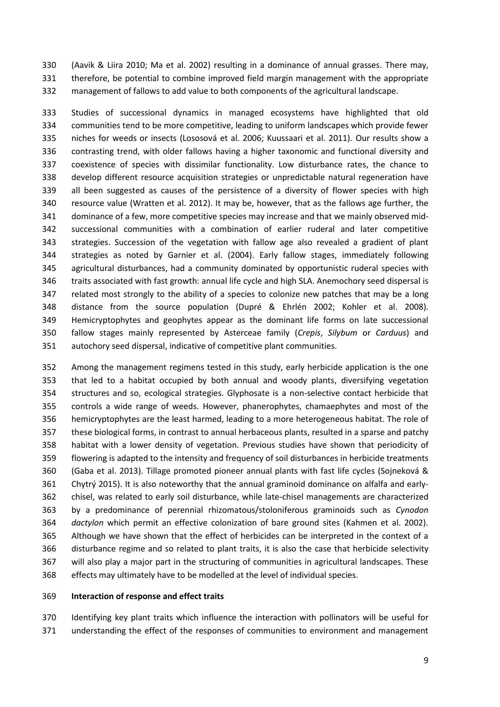(Aavik & Liira 2010; Ma et al. 2002) resulting in a dominance of annual grasses. There may, therefore, be potential to combine improved field margin management with the appropriate management of fallows to add value to both components of the agricultural landscape.

 Studies of successional dynamics in managed ecosystems have highlighted that old communities tend to be more competitive, leading to uniform landscapes which provide fewer niches for weeds or insects (Lososová et al. 2006; Kuussaari et al. 2011). Our results show a contrasting trend, with older fallows having a higher taxonomic and functional diversity and coexistence of species with dissimilar functionality. Low disturbance rates, the chance to develop different resource acquisition strategies or unpredictable natural regeneration have all been suggested as causes of the persistence of a diversity of flower species with high resource value (Wratten et al. 2012). It may be, however, that as the fallows age further, the dominance of a few, more competitive species may increase and that we mainly observed mid- successional communities with a combination of earlier ruderal and later competitive strategies. Succession of the vegetation with fallow age also revealed a gradient of plant strategies as noted by Garnier et al. (2004). Early fallow stages, immediately following agricultural disturbances, had a community dominated by opportunistic ruderal species with traits associated with fast growth: annual life cycle and high SLA. Anemochory seed dispersal is related most strongly to the ability of a species to colonize new patches that may be a long distance from the source population (Dupré & Ehrlén 2002; Kohler et al. 2008). Hemicryptophytes and geophytes appear as the dominant life forms on late successional fallow stages mainly represented by Asterceae family (*Crepis*, *Silybum* or *Carduus*) and autochory seed dispersal, indicative of competitive plant communities.

 Among the management regimens tested in this study, early herbicide application is the one that led to a habitat occupied by both annual and woody plants, diversifying vegetation structures and so, ecological strategies. Glyphosate is a non-selective contact herbicide that controls a wide range of weeds. However, phanerophytes, chamaephytes and most of the hemicryptophytes are the least harmed, leading to a more heterogeneous habitat. The role of these biological forms, in contrast to annual herbaceous plants, resulted in a sparse and patchy habitat with a lower density of vegetation. Previous studies have shown that periodicity of flowering is adapted to the intensity and frequency of soil disturbances in herbicide treatments (Gaba et al. 2013). Tillage promoted pioneer annual plants with fast life cycles (Sojneková & Chytrý 2015). It is also noteworthy that the annual graminoid dominance on alfalfa and early- chisel, was related to early soil disturbance, while late-chisel managements are characterized by a predominance of perennial rhizomatous/stoloniferous graminoids such as *Cynodon dactylon* which permit an effective colonization of bare ground sites (Kahmen et al. 2002). Although we have shown that the effect of herbicides can be interpreted in the context of a disturbance regime and so related to plant traits, it is also the case that herbicide selectivity will also play a major part in the structuring of communities in agricultural landscapes. These effects may ultimately have to be modelled at the level of individual species.

#### **Interaction of response and effect traits**

 Identifying key plant traits which influence the interaction with pollinators will be useful for understanding the effect of the responses of communities to environment and management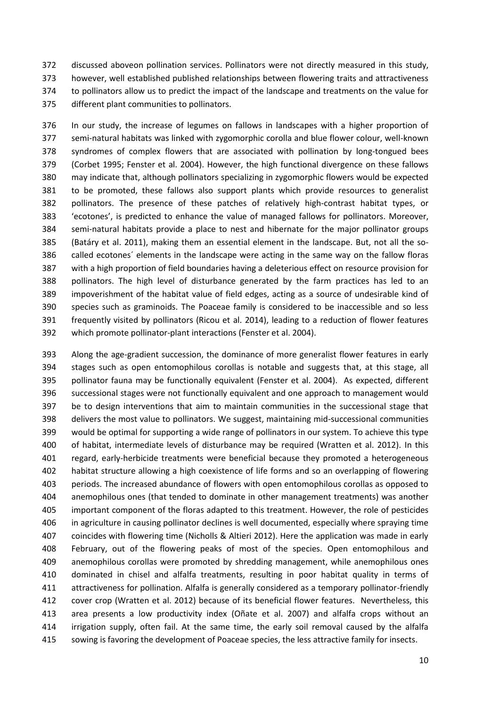discussed aboveon pollination services. Pollinators were not directly measured in this study, however, well established published relationships between flowering traits and attractiveness to pollinators allow us to predict the impact of the landscape and treatments on the value for different plant communities to pollinators.

 In our study, the increase of legumes on fallows in landscapes with a higher proportion of semi-natural habitats was linked with zygomorphic corolla and blue flower colour, well-known syndromes of complex flowers that are associated with pollination by long-tongued bees (Corbet 1995; Fenster et al. 2004). However, the high functional divergence on these fallows may indicate that, although pollinators specializing in zygomorphic flowers would be expected to be promoted, these fallows also support plants which provide resources to generalist pollinators. The presence of these patches of relatively high-contrast habitat types, or 'ecotones', is predicted to enhance the value of managed fallows for pollinators. Moreover, semi-natural habitats provide a place to nest and hibernate for the major pollinator groups (Batáry et al. 2011), making them an essential element in the landscape. But, not all the so- called ecotones´ elements in the landscape were acting in the same way on the fallow floras with a high proportion of field boundaries having a deleterious effect on resource provision for pollinators. The high level of disturbance generated by the farm practices has led to an impoverishment of the habitat value of field edges, acting as a source of undesirable kind of species such as graminoids. The Poaceae family is considered to be inaccessible and so less frequently visited by pollinators (Ricou et al. 2014), leading to a reduction of flower features which promote pollinator-plant interactions (Fenster et al. 2004).

 Along the age-gradient succession, the dominance of more generalist flower features in early stages such as open entomophilous corollas is notable and suggests that, at this stage, all pollinator fauna may be functionally equivalent (Fenster et al. 2004). As expected, different successional stages were not functionally equivalent and one approach to management would be to design interventions that aim to maintain communities in the successional stage that delivers the most value to pollinators. We suggest, maintaining mid-successional communities would be optimal for supporting a wide range of pollinators in our system. To achieve this type of habitat, intermediate levels of disturbance may be required (Wratten et al. 2012). In this 401 regard, early-herbicide treatments were beneficial because they promoted a heterogeneous habitat structure allowing a high coexistence of life forms and so an overlapping of flowering periods. The increased abundance of flowers with open entomophilous corollas as opposed to anemophilous ones (that tended to dominate in other management treatments) was another important component of the floras adapted to this treatment. However, the role of pesticides in agriculture in causing pollinator declines is well documented, especially where spraying time coincides with flowering time (Nicholls & Altieri 2012). Here the application was made in early February, out of the flowering peaks of most of the species. Open entomophilous and anemophilous corollas were promoted by shredding management, while anemophilous ones dominated in chisel and alfalfa treatments, resulting in poor habitat quality in terms of attractiveness for pollination. Alfalfa is generally considered as a temporary pollinator-friendly cover crop (Wratten et al. 2012) because of its beneficial flower features. Nevertheless, this area presents a low productivity index (Oñate et al. 2007) and alfalfa crops without an irrigation supply, often fail. At the same time, the early soil removal caused by the alfalfa sowing is favoring the development of Poaceae species, the less attractive family for insects.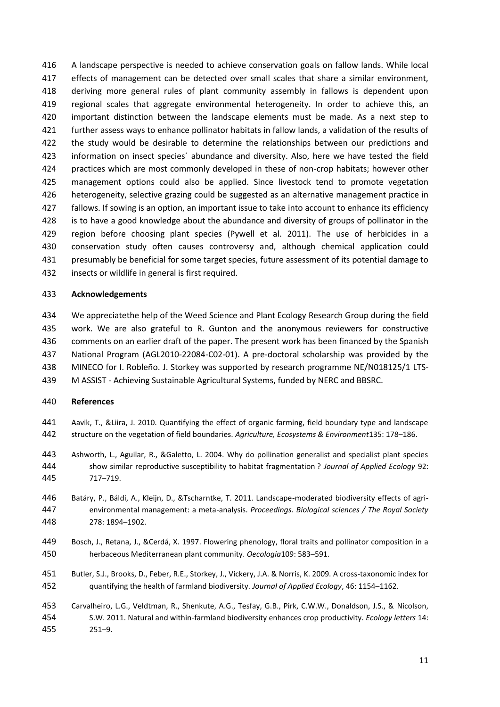A landscape perspective is needed to achieve conservation goals on fallow lands. While local 417 effects of management can be detected over small scales that share a similar environment, deriving more general rules of plant community assembly in fallows is dependent upon regional scales that aggregate environmental heterogeneity. In order to achieve this, an important distinction between the landscape elements must be made. As a next step to further assess ways to enhance pollinator habitats in fallow lands, a validation of the results of the study would be desirable to determine the relationships between our predictions and information on insect species´ abundance and diversity. Also, here we have tested the field practices which are most commonly developed in these of non-crop habitats; however other management options could also be applied. Since livestock tend to promote vegetation heterogeneity, selective grazing could be suggested as an alternative management practice in fallows. If sowing is an option, an important issue to take into account to enhance its efficiency is to have a good knowledge about the abundance and diversity of groups of pollinator in the region before choosing plant species (Pywell et al. 2011). The use of herbicides in a conservation study often causes controversy and, although chemical application could presumably be beneficial for some target species, future assessment of its potential damage to insects or wildlife in general is first required.

## **Acknowledgements**

 We appreciatethe help of the Weed Science and Plant Ecology Research Group during the field work. We are also grateful to R. Gunton and the anonymous reviewers for constructive 436 comments on an earlier draft of the paper. The present work has been financed by the Spanish National Program (AGL2010-22084-C02-01). A pre-doctoral scholarship was provided by the MINECO for I. Robleño. J. Storkey was supported by research programme NE/N018125/1 LTS-

M ASSIST - Achieving Sustainable Agricultural Systems, funded by NERC and BBSRC.

#### **References**

- Aavik, T., &Liira, J. 2010. Quantifying the effect of organic farming, field boundary type and landscape structure on the vegetation of field boundaries. *Agriculture, Ecosystems & Environment*135: 178–186.
- Ashworth, L., Aguilar, R., &Galetto, L. 2004. Why do pollination generalist and specialist plant species show similar reproductive susceptibility to habitat fragmentation ? *Journal of Applied Ecology* 92: 717–719.
- Batáry, P., Báldi, A., Kleijn, D., &Tscharntke, T. 2011. Landscape-moderated biodiversity effects of agri- environmental management: a meta-analysis. *Proceedings. Biological sciences / The Royal Society* 278: 1894–1902.
- Bosch, J., Retana, J., &Cerdá, X. 1997. Flowering phenology, floral traits and pollinator composition in a herbaceous Mediterranean plant community. *Oecologia*109: 583–591.
- Butler, S.J., Brooks, D., Feber, R.E., Storkey, J., Vickery, J.A. & Norris, K. 2009. A cross-taxonomic index for quantifying the health of farmland biodiversity*. Journal of Applied Ecology*, 46: 1154–1162.
- Carvalheiro, L.G., Veldtman, R., Shenkute, A.G., Tesfay, G.B., Pirk, C.W.W., Donaldson, J.S., & Nicolson, S.W. 2011. Natural and within-farmland biodiversity enhances crop productivity. *Ecology letters* 14: 251–9.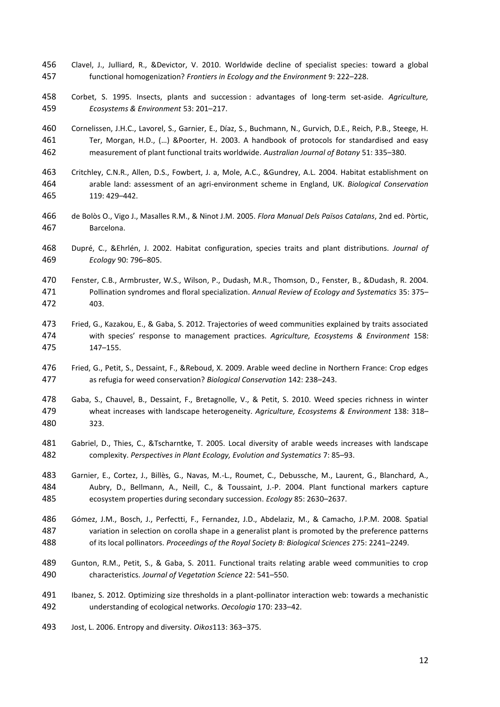- Clavel, J., Julliard, R., &Devictor, V. 2010. Worldwide decline of specialist species: toward a global functional homogenization? *Frontiers in Ecology and the Environment* 9: 222–228.
- Corbet, S. 1995. Insects, plants and succession : advantages of long-term set-aside. *Agriculture, Ecosystems & Environment* 53: 201–217.
- Cornelissen, J.H.C., Lavorel, S., Garnier, E., Díaz, S., Buchmann, N., Gurvich, D.E., Reich, P.B., Steege, H. Ter, Morgan, H.D., (…) &Poorter, H. 2003. A handbook of protocols for standardised and easy measurement of plant functional traits worldwide. *Australian Journal of Botany* 51: 335–380.
- Critchley, C.N.R., Allen, D.S., Fowbert, J. a, Mole, A.C., &Gundrey, A.L. 2004. Habitat establishment on arable land: assessment of an agri-environment scheme in England, UK. *Biological Conservation* 119: 429–442.
- de Bolòs O., Vigo J., Masalles R.M., & Ninot J.M. 2005. *Flora Manual Dels Països Catalans*, 2nd ed. Pòrtic, Barcelona.
- Dupré, C., &Ehrlén, J. 2002. Habitat configuration, species traits and plant distributions. *Journal of Ecology* 90: 796–805.
- Fenster, C.B., Armbruster, W.S., Wilson, P., Dudash, M.R., Thomson, D., Fenster, B., &Dudash, R. 2004. Pollination syndromes and floral specialization. *Annual Review of Ecology and Systematics* 35: 375– 403.
- Fried, G., Kazakou, E., & Gaba, S. 2012. Trajectories of weed communities explained by traits associated with species' response to management practices. *Agriculture, Ecosystems & Environment* 158: 147–155.
- Fried, G., Petit, S., Dessaint, F., &Reboud, X. 2009. Arable weed decline in Northern France: Crop edges as refugia for weed conservation? *Biological Conservation* 142: 238–243.
- Gaba, S., Chauvel, B., Dessaint, F., Bretagnolle, V., & Petit, S. 2010. Weed species richness in winter wheat increases with landscape heterogeneity. *Agriculture, Ecosystems & Environment* 138: 318– 323.
- Gabriel, D., Thies, C., &Tscharntke, T. 2005. Local diversity of arable weeds increases with landscape complexity. *Perspectives in Plant Ecology, Evolution and Systematics* 7: 85–93.
- Garnier, E., Cortez, J., Billès, G., Navas, M.-L., Roumet, C., Debussche, M., Laurent, G., Blanchard, A., Aubry, D., Bellmann, A., Neill, C., & Toussaint, J.-P. 2004. Plant functional markers capture ecosystem properties during secondary succession. *Ecology* 85: 2630–2637.
- Gómez, J.M., Bosch, J., Perfectti, F., Fernandez, J.D., Abdelaziz, M., & Camacho, J.P.M. 2008. Spatial variation in selection on corolla shape in a generalist plant is promoted by the preference patterns of its local pollinators. *Proceedings of the Royal Society B: Biological Sciences* 275: 2241–2249.
- Gunton, R.M., Petit, S., & Gaba, S. 2011. Functional traits relating arable weed communities to crop characteristics. *Journal of Vegetation Science* 22: 541–550.
- Ibanez, S. 2012. Optimizing size thresholds in a plant-pollinator interaction web: towards a mechanistic understanding of ecological networks. *Oecologia* 170: 233–42.
- Jost, L. 2006. Entropy and diversity. *Oikos*113: 363–375.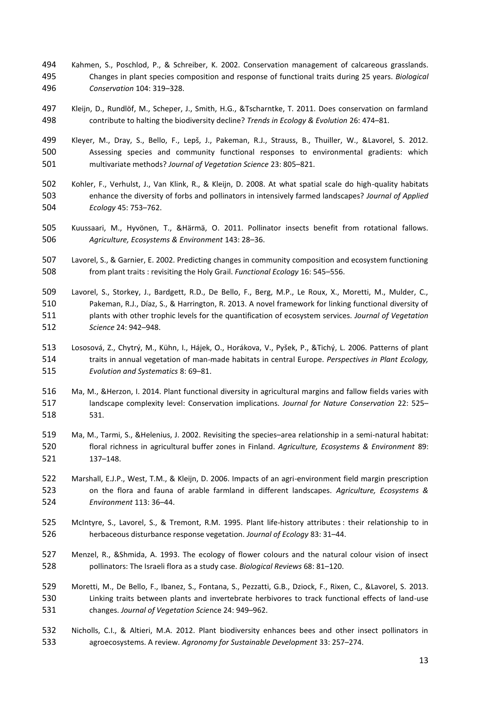- Kahmen, S., Poschlod, P., & Schreiber, K. 2002. Conservation management of calcareous grasslands. Changes in plant species composition and response of functional traits during 25 years. *Biological Conservation* 104: 319–328.
- Kleijn, D., Rundlöf, M., Scheper, J., Smith, H.G., &Tscharntke, T. 2011. Does conservation on farmland contribute to halting the biodiversity decline? *Trends in Ecology & Evolution* 26: 474–81.
- Kleyer, M., Dray, S., Bello, F., Lepš, J., Pakeman, R.J., Strauss, B., Thuiller, W., &Lavorel, S. 2012. Assessing species and community functional responses to environmental gradients: which multivariate methods? *Journal of Vegetation Science* 23: 805–821.
- Kohler, F., Verhulst, J., Van Klink, R., & Kleijn, D. 2008. At what spatial scale do high-quality habitats enhance the diversity of forbs and pollinators in intensively farmed landscapes? *Journal of Applied Ecology* 45: 753–762.
- Kuussaari, M., Hyvönen, T., &Härmä, O. 2011. Pollinator insects benefit from rotational fallows. *Agriculture, Ecosystems & Environment* 143: 28–36.
- Lavorel, S., & Garnier, E. 2002. Predicting changes in community composition and ecosystem functioning from plant traits : revisiting the Holy Grail. *Functional Ecology* 16: 545–556.
- Lavorel, S., Storkey, J., Bardgett, R.D., De Bello, F., Berg, M.P., Le Roux, X., Moretti, M., Mulder, C., Pakeman, R.J., Díaz, S., & Harrington, R. 2013. A novel framework for linking functional diversity of plants with other trophic levels for the quantification of ecosystem services. *Journal of Vegetation Science* 24: 942–948.
- Lososová, Z., Chytrý, M., Kühn, I., Hájek, O., Horákova, V., Pyšek, P., &Tichý, L. 2006. Patterns of plant traits in annual vegetation of man-made habitats in central Europe. *Perspectives in Plant Ecology, Evolution and Systematics* 8: 69–81.
- Ma, M., &Herzon, I. 2014. Plant functional diversity in agricultural margins and fallow fields varies with landscape complexity level: Conservation implications. *Journal for Nature Conservation* 22: 525– 531.
- Ma, M., Tarmi, S., &Helenius, J. 2002. Revisiting the species–area relationship in a semi-natural habitat: floral richness in agricultural buffer zones in Finland. *Agriculture, Ecosystems & Environment* 89: 137–148.
- Marshall, E.J.P., West, T.M., & Kleijn, D. 2006. Impacts of an agri-environment field margin prescription on the flora and fauna of arable farmland in different landscapes. *Agriculture, Ecosystems & Environment* 113: 36–44.
- McIntyre, S., Lavorel, S., & Tremont, R.M. 1995. Plant life-history attributes : their relationship to in herbaceous disturbance response vegetation. *Journal of Ecology* 83: 31–44.
- Menzel, R., &Shmida, A. 1993. The ecology of flower colours and the natural colour vision of insect pollinators: The Israeli flora as a study case. *Biological Reviews* 68: 81–120.
- Moretti, M., De Bello, F., Ibanez, S., Fontana, S., Pezzatti, G.B., Dziock, F., Rixen, C., &Lavorel, S. 2013. Linking traits between plants and invertebrate herbivores to track functional effects of land-use changes. *Journal of Vegetation Scie*nce 24: 949–962.
- Nicholls, C.I., & Altieri, M.A. 2012. Plant biodiversity enhances bees and other insect pollinators in agroecosystems. A review. *Agronomy for Sustainable Development* 33: 257–274.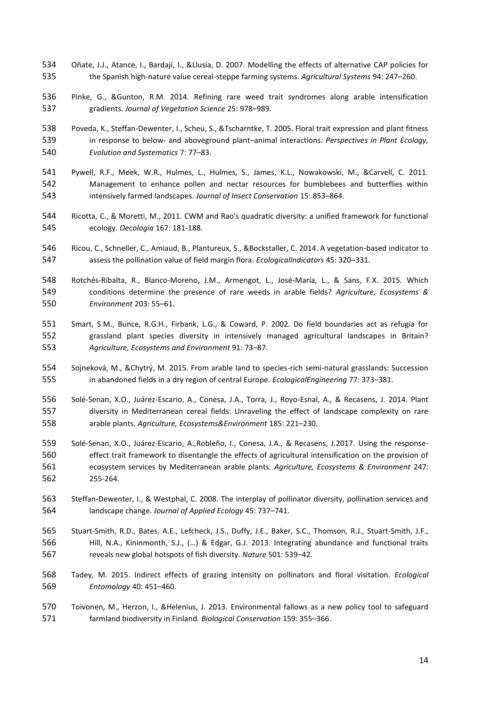- Oñate, J.J., Atance, I., Bardají, I., &Llusia, D. 2007. Modelling the effects of alternative CAP policies for the Spanish high-nature value cereal-steppe farming systems. *Agricultural Systems* 94: 247–260.
- Pinke, G., &Gunton, R.M. 2014. Refining rare weed trait syndromes along arable intensification gradients. *Journal of Vegetation Science* 25: 978–989.
- Poveda, K., Steffan-Dewenter, I., Scheu, S., &Tscharntke, T. 2005. Floral trait expression and plant fitness in response to below- and aboveground plant–animal interactions. *Perspectives in Plant Ecology, Evolution and Systematics* 7: 77–83.
- Pywell, R.F., Meek, W.R., Hulmes, L., Hulmes, S., James, K.L., Nowakowski, M., &Carvell, C. 2011. Management to enhance pollen and nectar resources for bumblebees and butterflies within intensively farmed landscapes. *Journal of Insect Conservation* 15: 853–864.
- Ricotta, C., & Moretti, M., 2011. CWM and Rao's quadratic diversity: a unified framework for functional ecology. *Oecologia* 167: 181-188.
- Ricou, C., Schneller, C., Amiaud, B., Plantureux, S., &Bockstaller, C. 2014. A vegetation-based indicator to assess the pollination value of field margin flora. *EcologicalIndicators* 45: 320–331.
- Rotchés-Ribalta, R., Blanco-Moreno, J.M., Armengot, L., José-María, L., & Sans, F.X. 2015. Which conditions determine the presence of rare weeds in arable fields? *Agriculture, Ecosystems & Environment* 203: 55–61.
- Smart, S.M., Bunce, R.G.H., Firbank, L.G., & Coward, P. 2002. Do field boundaries act as refugia for grassland plant species diversity in intensively managed agricultural landscapes in Britain? *Agriculture, Ecosystems and Environment* 91: 73–87.
- Sojneková, M., &Chytrý, M. 2015. From arable land to species-rich semi-natural grasslands: Succession in abandoned fields in a dry region of central Europe. *EcologicalEngineering* 77: 373–381.
- Solé-Senan, X.O., Juárez-Escario, A., Conesa, J.A., Torra, J., Royo-Esnal, A., & Recasens, J. 2014. Plant diversity in Mediterranean cereal fields: Unraveling the effect of landscape complexity on rare arable plants. *Agriculture, Ecosystems&Environment* 185: 221–230.
- Solé-Senan, X.O., Juárez-Escario, A.,Robleño, I., Conesa, J.A., & Recasens, J.2017. Using the response- effect trait framework to disentangle the effects of agricultural intensification on the provision of ecosystem services by Mediterranean arable plants. *Agriculture, Ecosystems & Environment* 247: 255-264.
- Steffan-Dewenter, I., & Westphal, C. 2008. The interplay of pollinator diversity, pollination services and landscape change. *Journal of Applied Ecology* 45: 737–741.
- Stuart-Smith, R.D., Bates, A.E., Lefcheck, J.S., Duffy, J.E., Baker, S.C., Thomson, R.J., Stuart-Smith, J.F., Hill, N.A., Kininmonth, S.J., (…) & Edgar, G.J. 2013. Integrating abundance and functional traits reveals new global hotspots of fish diversity. *Nature* 501: 539–42.
- Tadey, M. 2015. Indirect effects of grazing intensity on pollinators and floral visitation. *Ecological Entomology* 40: 451–460.
- Toivonen, M., Herzon, I., &Helenius, J. 2013. Environmental fallows as a new policy tool to safeguard farmland biodiversity in Finland. *Biological Conservation* 159: 355–366.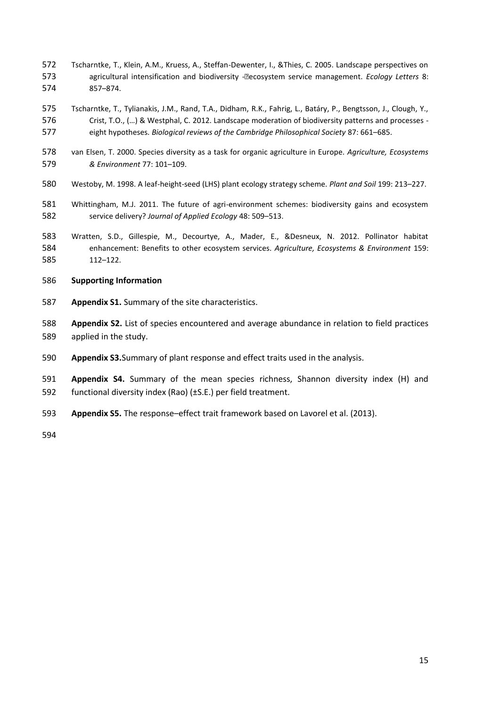- Tscharntke, T., Klein, A.M., Kruess, A., Steffan-Dewenter, I., &Thies, C. 2005. Landscape perspectives on agricultural intensification and biodiversity -€ecosystem service management. *Ecology Letters* 8: 857–874.
- Tscharntke, T., Tylianakis, J.M., Rand, T.A., Didham, R.K., Fahrig, L., Batáry, P., Bengtsson, J., Clough, Y., Crist, T.O., (…) & Westphal, C. 2012. Landscape moderation of biodiversity patterns and processes - eight hypotheses. *Biological reviews of the Cambridge Philosophical Society* 87: 661–685.
- van Elsen, T. 2000. Species diversity as a task for organic agriculture in Europe. *Agriculture, Ecosystems & Environment* 77: 101–109.
- Westoby, M. 1998. A leaf-height-seed (LHS) plant ecology strategy scheme. *Plant and Soil* 199: 213–227.
- Whittingham, M.J. 2011. The future of agri-environment schemes: biodiversity gains and ecosystem service delivery? *Journal of Applied Ecology* 48: 509–513.
- Wratten, S.D., Gillespie, M., Decourtye, A., Mader, E., &Desneux, N. 2012. Pollinator habitat enhancement: Benefits to other ecosystem services. *Agriculture, Ecosystems & Environment* 159: 112–122.
- **Supporting Information**
- **Appendix S1.** Summary of the site characteristics.
- **Appendix S2.** List of species encountered and average abundance in relation to field practices applied in the study.
- **Appendix S3.**Summary of plant response and effect traits used in the analysis.
- **Appendix S4.** Summary of the mean species richness, Shannon diversity index (H) and functional diversity index (Rao) (±S.E.) per field treatment.
- **Appendix S5.** The response–effect trait framework based on Lavorel et al. (2013).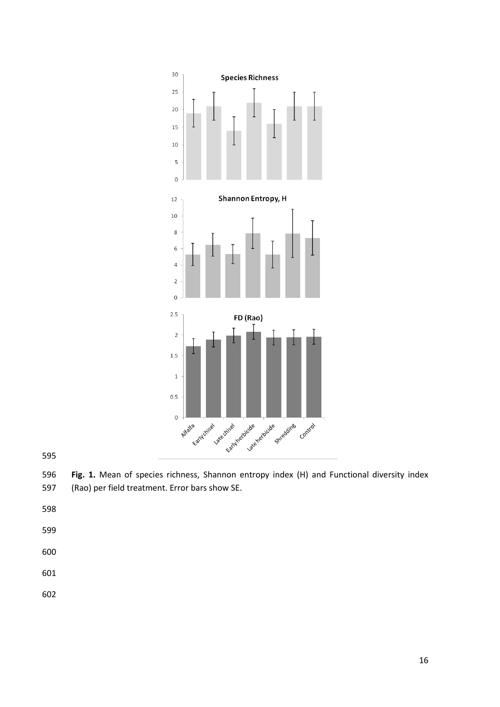

 **Fig. 1.** Mean of species richness, Shannon entropy index (H) and Functional diversity index (Rao) per field treatment. Error bars show SE.

- 
-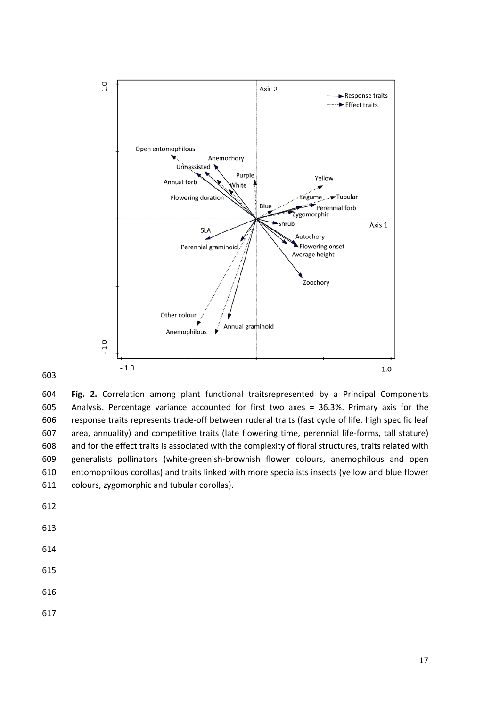

 **Fig. 2.** Correlation among plant functional traitsrepresented by a Principal Components Analysis. Percentage variance accounted for first two axes = 36.3%. Primary axis for the response traits represents trade-off between ruderal traits (fast cycle of life, high specific leaf area, annuality) and competitive traits (late flowering time, perennial life-forms, tall stature) and for the effect traits is associated with the complexity of floral structures, traits related with generalists pollinators (white-greenish-brownish flower colours, anemophilous and open entomophilous corollas) and traits linked with more specialists insects (yellow and blue flower colours, zygomorphic and tubular corollas).

- 
- 
- 
- 
-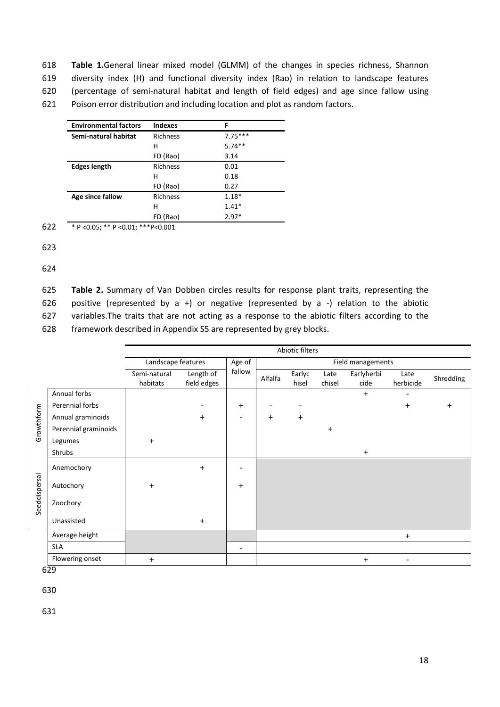**Table 1.**General linear mixed model (GLMM) of the changes in species richness, Shannon diversity index (H) and functional diversity index (Rao) in relation to landscape features (percentage of semi-natural habitat and length of field edges) and age since fallow using Poison error distribution and including location and plot as random factors.

| <b>Environmental factors</b> | <b>Indexes</b>  | F         |
|------------------------------|-----------------|-----------|
| Semi-natural habitat         | <b>Richness</b> | $7.75***$ |
|                              | н               | $5.74**$  |
|                              | FD (Rao)        | 3.14      |
| <b>Edges length</b>          | <b>Richness</b> | 0.01      |
|                              | н               | 0.18      |
|                              | FD (Rao)        | 0.27      |
| Age since fallow             | <b>Richness</b> | $1.18*$   |
|                              | н               | $1.41*$   |
|                              | FD (Rao)        | $2.97*$   |

622 \* P <0.05; \*\* P <0.01; \*\*\*P<0.001

623

624

 **Table 2.** Summary of Van Dobben circles results for response plant traits, representing the positive (represented by a +) or negative (represented by a -) relation to the abiotic variables.The traits that are not acting as a response to the abiotic filters according to the framework described in Appendix S5 are represented by grey blocks.

|               |                      |                          |                          |                          |           | Abiotic filters          |                |                    |                          |           |
|---------------|----------------------|--------------------------|--------------------------|--------------------------|-----------|--------------------------|----------------|--------------------|--------------------------|-----------|
|               |                      | Landscape features       | Age of                   | Field managements        |           |                          |                |                    |                          |           |
|               |                      | Semi-natural<br>habitats | Length of<br>field edges | fallow                   | Alfalfa   | Earlyc<br>hisel          | Late<br>chisel | Earlyherbi<br>cide | Late<br>herbicide        | Shredding |
|               | Annual forbs         |                          |                          |                          |           |                          |                | $\ddot{}$          |                          |           |
|               | Perennial forbs      |                          | ۰                        | $\ddot{}$                |           | $\overline{\phantom{a}}$ |                |                    | $\ddot{}$                | $\ddot{}$ |
|               | Annual graminoids    |                          | $\ddot{}$                | $\overline{\phantom{a}}$ | $\ddot{}$ | $\ddot{}$                |                |                    |                          |           |
| Growthform    | Perennial graminoids |                          |                          |                          |           |                          | $\ddot{}$      |                    |                          |           |
|               | Legumes              | $\ddot{}$                |                          |                          |           |                          |                |                    |                          |           |
|               | Shrubs               |                          |                          |                          |           |                          |                | $+$                |                          |           |
|               | Anemochory           |                          | $\ddot{}$                |                          |           |                          |                |                    |                          |           |
| Seeddispersal | Autochory            | $\ddot{}$                |                          | $\ddot{}$                |           |                          |                |                    |                          |           |
|               | Zoochory             |                          |                          |                          |           |                          |                |                    |                          |           |
|               | Unassisted           |                          | $\ddot{}$                |                          |           |                          |                |                    |                          |           |
|               | Average height       |                          |                          |                          |           |                          |                |                    | $\ddot{}$                |           |
|               | <b>SLA</b>           |                          |                          | $\overline{\phantom{0}}$ |           |                          |                |                    |                          |           |
|               | Flowering onset      | $\ddot{}$                |                          |                          |           |                          |                | $\ddot{}$          | $\overline{\phantom{a}}$ |           |

629

630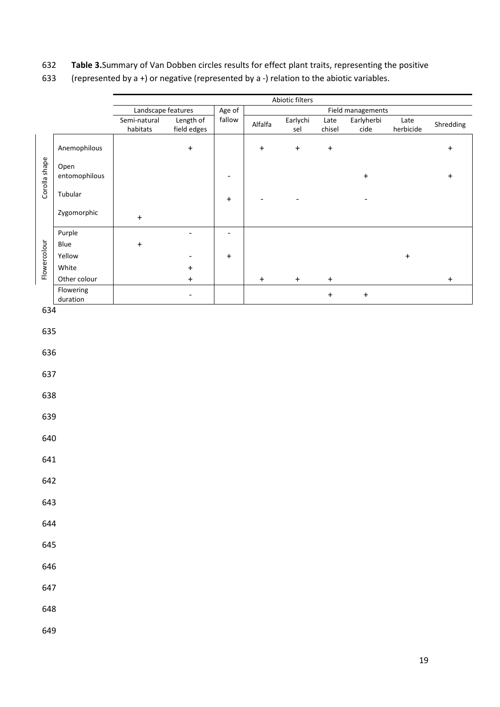# 632 **Table 3.**Summary of Van Dobben circles results for effect plant traits, representing the positive

| 633 | (represented by a +) or negative (represented by a -) relation to the abiotic variables. |
|-----|------------------------------------------------------------------------------------------|
|     |                                                                                          |

|               |                       |                    |                          |                          |           | Abiotic filters                  |                                  |                   |                                  |                  |
|---------------|-----------------------|--------------------|--------------------------|--------------------------|-----------|----------------------------------|----------------------------------|-------------------|----------------------------------|------------------|
|               |                       | Landscape features |                          | Age of                   |           |                                  |                                  | Field managements |                                  |                  |
|               |                       | Semi-natural       | Length of                | fallow                   | Alfalfa   | Earlychi                         | Late                             | Earlyherbi        | Late                             | Shredding        |
|               |                       | habitats           | field edges              |                          |           | sel                              | chisel                           | cide              | herbicide                        |                  |
|               | Anemophilous          |                    | $\ddot{}$                |                          | $\ddot{}$ | $\begin{array}{c} + \end{array}$ | $\begin{array}{c} + \end{array}$ |                   |                                  | $\boldsymbol{+}$ |
| Corolla shape | Open<br>entomophilous |                    |                          | $\overline{\phantom{0}}$ |           |                                  |                                  | $\ddagger$        |                                  | $\ddot{}$        |
|               | Tubular               |                    |                          | $\boldsymbol{+}$         |           |                                  |                                  |                   |                                  |                  |
|               | Zygomorphic           | $\boldsymbol{+}$   |                          |                          |           |                                  |                                  |                   |                                  |                  |
|               | Purple                |                    | $\overline{\phantom{a}}$ | $\overline{\phantom{m}}$ |           |                                  |                                  |                   |                                  |                  |
|               | Blue                  | $\ddot{}$          |                          |                          |           |                                  |                                  |                   |                                  |                  |
| Flowercolour  |                       |                    |                          |                          |           |                                  |                                  |                   |                                  |                  |
|               | Yellow                |                    |                          | $\ddot{}$                |           |                                  |                                  |                   | $\begin{array}{c} + \end{array}$ |                  |
|               | White                 |                    | $\ddot{}$                |                          |           |                                  |                                  |                   |                                  |                  |
|               | Other colour          |                    | $\ddot{}$                |                          | $\pmb{+}$ | $\begin{array}{c} + \end{array}$ | $\begin{array}{c} + \end{array}$ |                   |                                  | $\boldsymbol{+}$ |
|               | Flowering             |                    |                          |                          |           |                                  |                                  |                   |                                  |                  |
|               | duration              |                    | $\overline{\phantom{a}}$ |                          |           |                                  | $\boldsymbol{+}$                 | $\ddot{}$         |                                  |                  |
| 634           |                       |                    |                          |                          |           |                                  |                                  |                   |                                  |                  |
| 635           |                       |                    |                          |                          |           |                                  |                                  |                   |                                  |                  |
| 636           |                       |                    |                          |                          |           |                                  |                                  |                   |                                  |                  |
| 637           |                       |                    |                          |                          |           |                                  |                                  |                   |                                  |                  |
| 638           |                       |                    |                          |                          |           |                                  |                                  |                   |                                  |                  |
| 639           |                       |                    |                          |                          |           |                                  |                                  |                   |                                  |                  |
| 640           |                       |                    |                          |                          |           |                                  |                                  |                   |                                  |                  |
| 641           |                       |                    |                          |                          |           |                                  |                                  |                   |                                  |                  |
| 642           |                       |                    |                          |                          |           |                                  |                                  |                   |                                  |                  |
| 643           |                       |                    |                          |                          |           |                                  |                                  |                   |                                  |                  |
| 644           |                       |                    |                          |                          |           |                                  |                                  |                   |                                  |                  |
| 645           |                       |                    |                          |                          |           |                                  |                                  |                   |                                  |                  |
| 646           |                       |                    |                          |                          |           |                                  |                                  |                   |                                  |                  |
| 647           |                       |                    |                          |                          |           |                                  |                                  |                   |                                  |                  |
| 648           |                       |                    |                          |                          |           |                                  |                                  |                   |                                  |                  |
| 649           |                       |                    |                          |                          |           |                                  |                                  |                   |                                  |                  |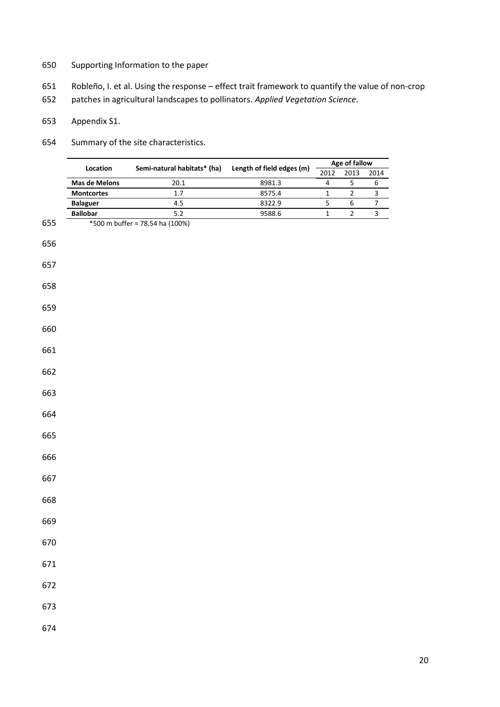- Supporting Information to the paper
- Robleño, I. et al. Using the response effect trait framework to quantify the value of non-crop
- patches in agricultural landscapes to pollinators. *Applied Vegetation Science*.
- Appendix S1.
- Summary of the site characteristics.

|     | Location             | Semi-natural habitats* (ha)     |                           | Age of fallow |      |      |  |
|-----|----------------------|---------------------------------|---------------------------|---------------|------|------|--|
|     |                      |                                 | Length of field edges (m) | 2012          | 2013 | 2014 |  |
|     | <b>Mas de Melons</b> | 20.1                            | 8981.3                    |               |      | 6    |  |
|     | <b>Montcortes</b>    | 1.7                             | 8575.4                    |               |      |      |  |
|     | <b>Balaguer</b>      | 4.5                             | 8322.9                    |               | b    |      |  |
|     | <b>Ballobar</b>      | 5.2                             | 9588.6                    |               |      |      |  |
| 655 |                      | *500 m buffer = 78.54 ha (100%) |                           |               |      |      |  |

- 
- 
- 
- 
- 
- 
- 
- 
- 
- 
- 
- 
- 
- 
- 
- 
- 
- 
- 
- 
- 
-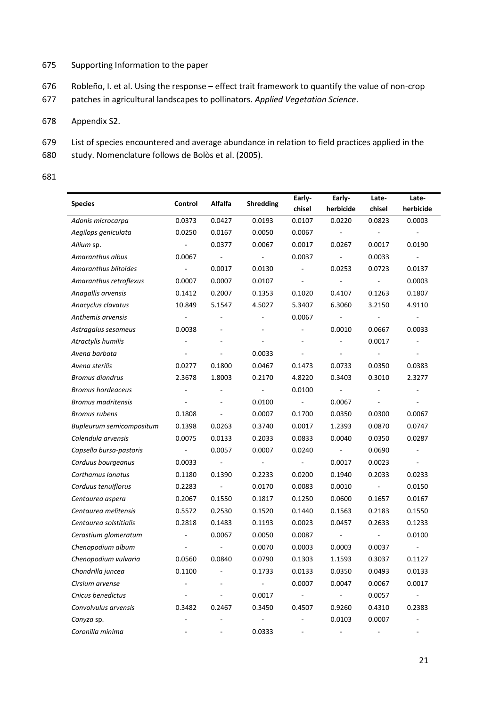# 675 Supporting Information to the paper

- 676 Robleño, I. et al. Using the response effect trait framework to quantify the value of non-crop
- 677 patches in agricultural landscapes to pollinators. *Applied Vegetation Science*.

# 678 Appendix S2.

- 679 List of species encountered and average abundance in relation to field practices applied in the
- 680 study. Nomenclature follows de Bolòs et al. (2005).
- 681

|                           |                          |                          |                          | Early-                   | Early-                   | Late-          | Late-                    |
|---------------------------|--------------------------|--------------------------|--------------------------|--------------------------|--------------------------|----------------|--------------------------|
| <b>Species</b>            | Control                  | Alfalfa                  | Shredding                | chisel                   | herbicide                | chisel         | herbicide                |
| Adonis microcarpa         | 0.0373                   | 0.0427                   | 0.0193                   | 0.0107                   | 0.0220                   | 0.0823         | 0.0003                   |
| Aegilops geniculata       | 0.0250                   | 0.0167                   | 0.0050                   | 0.0067                   | $\blacksquare$           |                | $\overline{\phantom{a}}$ |
| Allium sp.                | $\blacksquare$           | 0.0377                   | 0.0067                   | 0.0017                   | 0.0267                   | 0.0017         | 0.0190                   |
| Amaranthus albus          | 0.0067                   | $\overline{\phantom{a}}$ | $\Box$                   | 0.0037                   | $\overline{\phantom{a}}$ | 0.0033         |                          |
| Amaranthus blitoides      | $\blacksquare$           | 0.0017                   | 0.0130                   | $\overline{\phantom{a}}$ | 0.0253                   | 0.0723         | 0.0137                   |
| Amaranthus retroflexus    | 0.0007                   | 0.0007                   | 0.0107                   | $\blacksquare$           | $\overline{\phantom{a}}$ | $\sim$         | 0.0003                   |
| Anagallis arvensis        | 0.1412                   | 0.2007                   | 0.1353                   | 0.1020                   | 0.4107                   | 0.1263         | 0.1807                   |
| Anacyclus clavatus        | 10.849                   | 5.1547                   | 4.5027                   | 5.3407                   | 6.3060                   | 3.2150         | 4.9110                   |
| Anthemis arvensis         | $\blacksquare$           |                          | ÷,                       | 0.0067                   |                          |                |                          |
| Astragalus sesameus       | 0.0038                   |                          |                          | $\blacksquare$           | 0.0010                   | 0.0667         | 0.0033                   |
| Atractylis humilis        |                          |                          | $\overline{\phantom{a}}$ |                          |                          | 0.0017         |                          |
| Avena barbata             |                          |                          | 0.0033                   |                          |                          |                |                          |
| Avena sterilis            | 0.0277                   | 0.1800                   | 0.0467                   | 0.1473                   | 0.0733                   | 0.0350         | 0.0383                   |
| <b>Bromus diandrus</b>    | 2.3678                   | 1.8003                   | 0.2170                   | 4.8220                   | 0.3403                   | 0.3010         | 2.3277                   |
| <b>Bromus hordeaceus</b>  |                          |                          | $\blacksquare$           | 0.0100                   | $\overline{\phantom{a}}$ |                |                          |
| <b>Bromus madritensis</b> |                          |                          | 0.0100                   | $\overline{\phantom{a}}$ | 0.0067                   | ÷.             |                          |
| <b>Bromus rubens</b>      | 0.1808                   |                          | 0.0007                   | 0.1700                   | 0.0350                   | 0.0300         | 0.0067                   |
| Bupleurum semicompositum  | 0.1398                   | 0.0263                   | 0.3740                   | 0.0017                   | 1.2393                   | 0.0870         | 0.0747                   |
| Calendula arvensis        | 0.0075                   | 0.0133                   | 0.2033                   | 0.0833                   | 0.0040                   | 0.0350         | 0.0287                   |
| Capsella bursa-pastoris   | $\sim$                   | 0.0057                   | 0.0007                   | 0.0240                   | $\overline{\phantom{a}}$ | 0.0690         | $\overline{\phantom{a}}$ |
| Carduus bourgeanus        | 0.0033                   | $\blacksquare$           | $\overline{\phantom{a}}$ | $\blacksquare$           | 0.0017                   | 0.0023         | $\overline{\phantom{a}}$ |
| Carthamus lanatus         | 0.1180                   | 0.1390                   | 0.2233                   | 0.0200                   | 0.1940                   | 0.2033         | 0.0233                   |
| Carduus tenuiflorus       | 0.2283                   | $\overline{\phantom{a}}$ | 0.0170                   | 0.0083                   | 0.0010                   | $\blacksquare$ | 0.0150                   |
| Centaurea aspera          | 0.2067                   | 0.1550                   | 0.1817                   | 0.1250                   | 0.0600                   | 0.1657         | 0.0167                   |
| Centaurea melitensis      | 0.5572                   | 0.2530                   | 0.1520                   | 0.1440                   | 0.1563                   | 0.2183         | 0.1550                   |
| Centaurea solstitialis    | 0.2818                   | 0.1483                   | 0.1193                   | 0.0023                   | 0.0457                   | 0.2633         | 0.1233                   |
| Cerastium glomeratum      | $\overline{\phantom{a}}$ | 0.0067                   | 0.0050                   | 0.0087                   | $\overline{\phantom{a}}$ |                | 0.0100                   |
| Chenopodium album         |                          |                          | 0.0070                   | 0.0003                   | 0.0003                   | 0.0037         | $\overline{\phantom{a}}$ |
| Chenopodium vulvaria      | 0.0560                   | 0.0840                   | 0.0790                   | 0.1303                   | 1.1593                   | 0.3037         | 0.1127                   |
| Chondrilla juncea         | 0.1100                   |                          | 0.1733                   | 0.0133                   | 0.0350                   | 0.0493         | 0.0133                   |
| Cirsium arvense           |                          |                          | $\overline{\phantom{a}}$ | 0.0007                   | 0.0047                   | 0.0067         | 0.0017                   |
| Cnicus benedictus         |                          |                          | 0.0017                   | $\overline{\phantom{a}}$ | $\overline{\phantom{a}}$ | 0.0057         | $\overline{\phantom{a}}$ |
| Convolvulus arvensis      | 0.3482                   | 0.2467                   | 0.3450                   | 0.4507                   | 0.9260                   | 0.4310         | 0.2383                   |
| Conyza sp.                |                          |                          |                          |                          | 0.0103                   | 0.0007         |                          |
| Coronilla minima          |                          |                          | 0.0333                   |                          |                          |                |                          |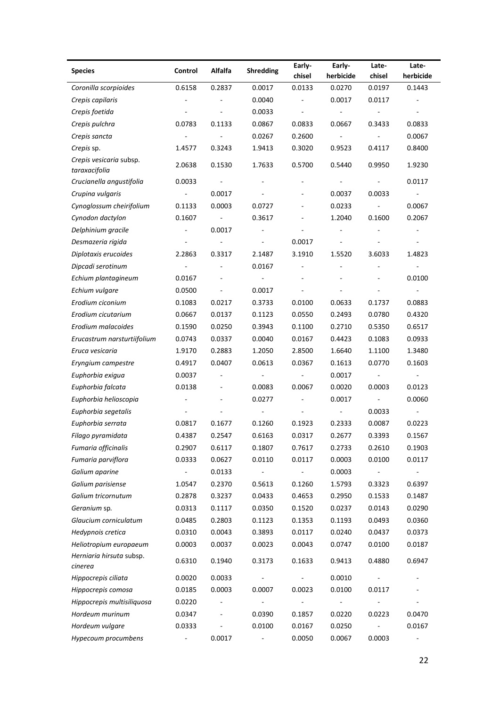| <b>Species</b><br>Alfalfa<br><b>Shredding</b><br>Control<br>herbicide<br>herbicide<br>chisel<br>chisel<br>0.2837<br>0.0133<br>Coronilla scorpioides<br>0.6158<br>0.0017<br>0.0270<br>0.0197<br>0.1443<br>0.0040<br>0.0017<br>0.0117<br>Crepis capilaris<br>÷,<br>÷,<br>0.0033<br>Crepis foetida<br>÷,<br>$\overline{\phantom{a}}$<br>$\frac{1}{2}$<br>Crepis pulchra<br>0.0783<br>0.1133<br>0.0867<br>0.0833<br>0.0667<br>0.0833<br>0.3433<br>0.0267<br>0.2600<br>0.0067<br>Crepis sancta<br>Crepis sp.<br>0.3243<br>1.9413<br>0.3020<br>0.9523<br>0.4117<br>0.8400<br>1.4577<br>Crepis vesicaria subsp.<br>2.0638<br>0.1530<br>1.7633<br>0.5700<br>0.5440<br>0.9950<br>1.9230<br>taraxacifolia<br>Crucianella angustifolia<br>0.0033<br>0.0117<br>$\overline{\phantom{a}}$<br>÷,<br>ä,<br>0.0017<br>0.0033<br>Crupina vulgaris<br>0.0037<br>$\blacksquare$<br>$\overline{\phantom{a}}$<br>Cynoglossum cheirifolium<br>0.1133<br>0.0003<br>0.0727<br>0.0233<br>0.0067<br>$\overline{\phantom{a}}$<br>ä,<br>Cynodon dactylon<br>0.1607<br>0.3617<br>1.2040<br>0.1600<br>0.2067<br>$\overline{\phantom{a}}$<br>Delphinium gracile<br>0.0017<br>$\overline{\phantom{a}}$<br>$\blacksquare$<br>0.0017<br>Desmazeria rigida<br>3.1910<br>Diplotaxis erucoides<br>2.2863<br>0.3317<br>2.1487<br>1.5520<br>3.6033<br>1.4823<br>Dipcadi serotinum<br>0.0167<br>$\overline{\phantom{a}}$<br>$\overline{\phantom{a}}$<br>$\overline{\phantom{a}}$<br>Echium plantagineum<br>0.0167<br>0.0100<br>$\overline{\phantom{a}}$<br>Echium vulgare<br>0.0500<br>0.0017<br>0.0217<br>Erodium ciconium<br>0.1083<br>0.3733<br>0.0100<br>0.0633<br>0.1737<br>0.0883<br>0.1123<br>0.0550<br>Erodium cicutarium<br>0.0667<br>0.0137<br>0.2493<br>0.0780<br>0.4320<br>Erodium malacoides<br>0.1590<br>0.0250<br>0.3943<br>0.1100<br>0.2710<br>0.5350<br>0.6517<br>Erucastrum narsturtiifolium<br>0.0337<br>0.0040<br>0.0167<br>0.4423<br>0.1083<br>0.0933<br>0.0743<br>0.2883<br>1.9170<br>1.2050<br>2.8500<br>1.6640<br>1.1100<br>1.3480<br>Eruca vesicaria<br>0.4917<br>0.0407<br>0.0613<br>0.0367<br>0.1613<br>0.0770<br>0.1603<br>Eryngium campestre<br>0.0017<br>Euphorbia exigua<br>0.0037<br>$\overline{\phantom{a}}$<br>$\overline{\phantom{a}}$<br>$\overline{\phantom{a}}$<br>$\overline{\phantom{a}}$<br>$\overline{\phantom{a}}$<br>Euphorbia falcata<br>0.0138<br>0.0083<br>0.0067<br>0.0020<br>0.0003<br>0.0123<br>$\overline{\phantom{a}}$<br>0.0017<br>Euphorbia helioscopia<br>0.0277<br>0.0060<br>÷,<br>Euphorbia segetalis<br>0.0033<br>$\blacksquare$<br>Euphorbia serrata<br>0.0817<br>0.1677<br>0.1260<br>0.1923<br>0.2333<br>0.0087<br>0.0223<br>0.4387<br>0.6163<br>0.0317<br>0.3393<br>Filago pyramidata<br>0.2547<br>0.2677<br>0.1567<br>Fumaria officinalis<br>0.2907<br>0.6117<br>0.1807<br>0.7617<br>0.2733<br>0.2610<br>0.1903<br>Fumaria parviflora<br>0.0627<br>0.0003<br>0.0333<br>0.0110<br>0.0117<br>0.0100<br>0.0117<br>0.0003<br>Galium aparine<br>0.0133<br>$\blacksquare$<br>$\overline{\phantom{a}}$<br>$\overline{\phantom{a}}$<br>$\frac{1}{2}$<br>$\overline{\phantom{a}}$<br>0.2370<br>Galium parisiense<br>1.0547<br>0.5613<br>0.1260<br>1.5793<br>0.3323<br>0.6397<br>0.4653<br>Galium tricornutum<br>0.2878<br>0.3237<br>0.0433<br>0.2950<br>0.1533<br>0.1487<br>0.0313<br>0.1117<br>0.0350<br>0.1520<br>0.0237<br>0.0143<br>0.0290<br>Geranium sp.<br>Glaucium corniculatum<br>0.0485<br>0.2803<br>0.1123<br>0.1353<br>0.1193<br>0.0493<br>0.0360 |  |  |        |        |       |       |
|---------------------------------------------------------------------------------------------------------------------------------------------------------------------------------------------------------------------------------------------------------------------------------------------------------------------------------------------------------------------------------------------------------------------------------------------------------------------------------------------------------------------------------------------------------------------------------------------------------------------------------------------------------------------------------------------------------------------------------------------------------------------------------------------------------------------------------------------------------------------------------------------------------------------------------------------------------------------------------------------------------------------------------------------------------------------------------------------------------------------------------------------------------------------------------------------------------------------------------------------------------------------------------------------------------------------------------------------------------------------------------------------------------------------------------------------------------------------------------------------------------------------------------------------------------------------------------------------------------------------------------------------------------------------------------------------------------------------------------------------------------------------------------------------------------------------------------------------------------------------------------------------------------------------------------------------------------------------------------------------------------------------------------------------------------------------------------------------------------------------------------------------------------------------------------------------------------------------------------------------------------------------------------------------------------------------------------------------------------------------------------------------------------------------------------------------------------------------------------------------------------------------------------------------------------------------------------------------------------------------------------------------------------------------------------------------------------------------------------------------------------------------------------------------------------------------------------------------------------------------------------------------------------------------------------------------------------------------------------------------------------------------------------------------------------------------------------------------------------------------------------------------------------------------------------------------------------------------------------------------------------------------------------------------------------------------------------------------------------------------------------------------------------------------------------------------------------------------------|--|--|--------|--------|-------|-------|
|                                                                                                                                                                                                                                                                                                                                                                                                                                                                                                                                                                                                                                                                                                                                                                                                                                                                                                                                                                                                                                                                                                                                                                                                                                                                                                                                                                                                                                                                                                                                                                                                                                                                                                                                                                                                                                                                                                                                                                                                                                                                                                                                                                                                                                                                                                                                                                                                                                                                                                                                                                                                                                                                                                                                                                                                                                                                                                                                                                                                                                                                                                                                                                                                                                                                                                                                                                                                                                                                           |  |  | Early- | Early- | Late- | Late- |
|                                                                                                                                                                                                                                                                                                                                                                                                                                                                                                                                                                                                                                                                                                                                                                                                                                                                                                                                                                                                                                                                                                                                                                                                                                                                                                                                                                                                                                                                                                                                                                                                                                                                                                                                                                                                                                                                                                                                                                                                                                                                                                                                                                                                                                                                                                                                                                                                                                                                                                                                                                                                                                                                                                                                                                                                                                                                                                                                                                                                                                                                                                                                                                                                                                                                                                                                                                                                                                                                           |  |  |        |        |       |       |
|                                                                                                                                                                                                                                                                                                                                                                                                                                                                                                                                                                                                                                                                                                                                                                                                                                                                                                                                                                                                                                                                                                                                                                                                                                                                                                                                                                                                                                                                                                                                                                                                                                                                                                                                                                                                                                                                                                                                                                                                                                                                                                                                                                                                                                                                                                                                                                                                                                                                                                                                                                                                                                                                                                                                                                                                                                                                                                                                                                                                                                                                                                                                                                                                                                                                                                                                                                                                                                                                           |  |  |        |        |       |       |
|                                                                                                                                                                                                                                                                                                                                                                                                                                                                                                                                                                                                                                                                                                                                                                                                                                                                                                                                                                                                                                                                                                                                                                                                                                                                                                                                                                                                                                                                                                                                                                                                                                                                                                                                                                                                                                                                                                                                                                                                                                                                                                                                                                                                                                                                                                                                                                                                                                                                                                                                                                                                                                                                                                                                                                                                                                                                                                                                                                                                                                                                                                                                                                                                                                                                                                                                                                                                                                                                           |  |  |        |        |       |       |
|                                                                                                                                                                                                                                                                                                                                                                                                                                                                                                                                                                                                                                                                                                                                                                                                                                                                                                                                                                                                                                                                                                                                                                                                                                                                                                                                                                                                                                                                                                                                                                                                                                                                                                                                                                                                                                                                                                                                                                                                                                                                                                                                                                                                                                                                                                                                                                                                                                                                                                                                                                                                                                                                                                                                                                                                                                                                                                                                                                                                                                                                                                                                                                                                                                                                                                                                                                                                                                                                           |  |  |        |        |       |       |
|                                                                                                                                                                                                                                                                                                                                                                                                                                                                                                                                                                                                                                                                                                                                                                                                                                                                                                                                                                                                                                                                                                                                                                                                                                                                                                                                                                                                                                                                                                                                                                                                                                                                                                                                                                                                                                                                                                                                                                                                                                                                                                                                                                                                                                                                                                                                                                                                                                                                                                                                                                                                                                                                                                                                                                                                                                                                                                                                                                                                                                                                                                                                                                                                                                                                                                                                                                                                                                                                           |  |  |        |        |       |       |
|                                                                                                                                                                                                                                                                                                                                                                                                                                                                                                                                                                                                                                                                                                                                                                                                                                                                                                                                                                                                                                                                                                                                                                                                                                                                                                                                                                                                                                                                                                                                                                                                                                                                                                                                                                                                                                                                                                                                                                                                                                                                                                                                                                                                                                                                                                                                                                                                                                                                                                                                                                                                                                                                                                                                                                                                                                                                                                                                                                                                                                                                                                                                                                                                                                                                                                                                                                                                                                                                           |  |  |        |        |       |       |
|                                                                                                                                                                                                                                                                                                                                                                                                                                                                                                                                                                                                                                                                                                                                                                                                                                                                                                                                                                                                                                                                                                                                                                                                                                                                                                                                                                                                                                                                                                                                                                                                                                                                                                                                                                                                                                                                                                                                                                                                                                                                                                                                                                                                                                                                                                                                                                                                                                                                                                                                                                                                                                                                                                                                                                                                                                                                                                                                                                                                                                                                                                                                                                                                                                                                                                                                                                                                                                                                           |  |  |        |        |       |       |
|                                                                                                                                                                                                                                                                                                                                                                                                                                                                                                                                                                                                                                                                                                                                                                                                                                                                                                                                                                                                                                                                                                                                                                                                                                                                                                                                                                                                                                                                                                                                                                                                                                                                                                                                                                                                                                                                                                                                                                                                                                                                                                                                                                                                                                                                                                                                                                                                                                                                                                                                                                                                                                                                                                                                                                                                                                                                                                                                                                                                                                                                                                                                                                                                                                                                                                                                                                                                                                                                           |  |  |        |        |       |       |
|                                                                                                                                                                                                                                                                                                                                                                                                                                                                                                                                                                                                                                                                                                                                                                                                                                                                                                                                                                                                                                                                                                                                                                                                                                                                                                                                                                                                                                                                                                                                                                                                                                                                                                                                                                                                                                                                                                                                                                                                                                                                                                                                                                                                                                                                                                                                                                                                                                                                                                                                                                                                                                                                                                                                                                                                                                                                                                                                                                                                                                                                                                                                                                                                                                                                                                                                                                                                                                                                           |  |  |        |        |       |       |
|                                                                                                                                                                                                                                                                                                                                                                                                                                                                                                                                                                                                                                                                                                                                                                                                                                                                                                                                                                                                                                                                                                                                                                                                                                                                                                                                                                                                                                                                                                                                                                                                                                                                                                                                                                                                                                                                                                                                                                                                                                                                                                                                                                                                                                                                                                                                                                                                                                                                                                                                                                                                                                                                                                                                                                                                                                                                                                                                                                                                                                                                                                                                                                                                                                                                                                                                                                                                                                                                           |  |  |        |        |       |       |
|                                                                                                                                                                                                                                                                                                                                                                                                                                                                                                                                                                                                                                                                                                                                                                                                                                                                                                                                                                                                                                                                                                                                                                                                                                                                                                                                                                                                                                                                                                                                                                                                                                                                                                                                                                                                                                                                                                                                                                                                                                                                                                                                                                                                                                                                                                                                                                                                                                                                                                                                                                                                                                                                                                                                                                                                                                                                                                                                                                                                                                                                                                                                                                                                                                                                                                                                                                                                                                                                           |  |  |        |        |       |       |
|                                                                                                                                                                                                                                                                                                                                                                                                                                                                                                                                                                                                                                                                                                                                                                                                                                                                                                                                                                                                                                                                                                                                                                                                                                                                                                                                                                                                                                                                                                                                                                                                                                                                                                                                                                                                                                                                                                                                                                                                                                                                                                                                                                                                                                                                                                                                                                                                                                                                                                                                                                                                                                                                                                                                                                                                                                                                                                                                                                                                                                                                                                                                                                                                                                                                                                                                                                                                                                                                           |  |  |        |        |       |       |
|                                                                                                                                                                                                                                                                                                                                                                                                                                                                                                                                                                                                                                                                                                                                                                                                                                                                                                                                                                                                                                                                                                                                                                                                                                                                                                                                                                                                                                                                                                                                                                                                                                                                                                                                                                                                                                                                                                                                                                                                                                                                                                                                                                                                                                                                                                                                                                                                                                                                                                                                                                                                                                                                                                                                                                                                                                                                                                                                                                                                                                                                                                                                                                                                                                                                                                                                                                                                                                                                           |  |  |        |        |       |       |
|                                                                                                                                                                                                                                                                                                                                                                                                                                                                                                                                                                                                                                                                                                                                                                                                                                                                                                                                                                                                                                                                                                                                                                                                                                                                                                                                                                                                                                                                                                                                                                                                                                                                                                                                                                                                                                                                                                                                                                                                                                                                                                                                                                                                                                                                                                                                                                                                                                                                                                                                                                                                                                                                                                                                                                                                                                                                                                                                                                                                                                                                                                                                                                                                                                                                                                                                                                                                                                                                           |  |  |        |        |       |       |
|                                                                                                                                                                                                                                                                                                                                                                                                                                                                                                                                                                                                                                                                                                                                                                                                                                                                                                                                                                                                                                                                                                                                                                                                                                                                                                                                                                                                                                                                                                                                                                                                                                                                                                                                                                                                                                                                                                                                                                                                                                                                                                                                                                                                                                                                                                                                                                                                                                                                                                                                                                                                                                                                                                                                                                                                                                                                                                                                                                                                                                                                                                                                                                                                                                                                                                                                                                                                                                                                           |  |  |        |        |       |       |
|                                                                                                                                                                                                                                                                                                                                                                                                                                                                                                                                                                                                                                                                                                                                                                                                                                                                                                                                                                                                                                                                                                                                                                                                                                                                                                                                                                                                                                                                                                                                                                                                                                                                                                                                                                                                                                                                                                                                                                                                                                                                                                                                                                                                                                                                                                                                                                                                                                                                                                                                                                                                                                                                                                                                                                                                                                                                                                                                                                                                                                                                                                                                                                                                                                                                                                                                                                                                                                                                           |  |  |        |        |       |       |
|                                                                                                                                                                                                                                                                                                                                                                                                                                                                                                                                                                                                                                                                                                                                                                                                                                                                                                                                                                                                                                                                                                                                                                                                                                                                                                                                                                                                                                                                                                                                                                                                                                                                                                                                                                                                                                                                                                                                                                                                                                                                                                                                                                                                                                                                                                                                                                                                                                                                                                                                                                                                                                                                                                                                                                                                                                                                                                                                                                                                                                                                                                                                                                                                                                                                                                                                                                                                                                                                           |  |  |        |        |       |       |
|                                                                                                                                                                                                                                                                                                                                                                                                                                                                                                                                                                                                                                                                                                                                                                                                                                                                                                                                                                                                                                                                                                                                                                                                                                                                                                                                                                                                                                                                                                                                                                                                                                                                                                                                                                                                                                                                                                                                                                                                                                                                                                                                                                                                                                                                                                                                                                                                                                                                                                                                                                                                                                                                                                                                                                                                                                                                                                                                                                                                                                                                                                                                                                                                                                                                                                                                                                                                                                                                           |  |  |        |        |       |       |
|                                                                                                                                                                                                                                                                                                                                                                                                                                                                                                                                                                                                                                                                                                                                                                                                                                                                                                                                                                                                                                                                                                                                                                                                                                                                                                                                                                                                                                                                                                                                                                                                                                                                                                                                                                                                                                                                                                                                                                                                                                                                                                                                                                                                                                                                                                                                                                                                                                                                                                                                                                                                                                                                                                                                                                                                                                                                                                                                                                                                                                                                                                                                                                                                                                                                                                                                                                                                                                                                           |  |  |        |        |       |       |
|                                                                                                                                                                                                                                                                                                                                                                                                                                                                                                                                                                                                                                                                                                                                                                                                                                                                                                                                                                                                                                                                                                                                                                                                                                                                                                                                                                                                                                                                                                                                                                                                                                                                                                                                                                                                                                                                                                                                                                                                                                                                                                                                                                                                                                                                                                                                                                                                                                                                                                                                                                                                                                                                                                                                                                                                                                                                                                                                                                                                                                                                                                                                                                                                                                                                                                                                                                                                                                                                           |  |  |        |        |       |       |
|                                                                                                                                                                                                                                                                                                                                                                                                                                                                                                                                                                                                                                                                                                                                                                                                                                                                                                                                                                                                                                                                                                                                                                                                                                                                                                                                                                                                                                                                                                                                                                                                                                                                                                                                                                                                                                                                                                                                                                                                                                                                                                                                                                                                                                                                                                                                                                                                                                                                                                                                                                                                                                                                                                                                                                                                                                                                                                                                                                                                                                                                                                                                                                                                                                                                                                                                                                                                                                                                           |  |  |        |        |       |       |
|                                                                                                                                                                                                                                                                                                                                                                                                                                                                                                                                                                                                                                                                                                                                                                                                                                                                                                                                                                                                                                                                                                                                                                                                                                                                                                                                                                                                                                                                                                                                                                                                                                                                                                                                                                                                                                                                                                                                                                                                                                                                                                                                                                                                                                                                                                                                                                                                                                                                                                                                                                                                                                                                                                                                                                                                                                                                                                                                                                                                                                                                                                                                                                                                                                                                                                                                                                                                                                                                           |  |  |        |        |       |       |
|                                                                                                                                                                                                                                                                                                                                                                                                                                                                                                                                                                                                                                                                                                                                                                                                                                                                                                                                                                                                                                                                                                                                                                                                                                                                                                                                                                                                                                                                                                                                                                                                                                                                                                                                                                                                                                                                                                                                                                                                                                                                                                                                                                                                                                                                                                                                                                                                                                                                                                                                                                                                                                                                                                                                                                                                                                                                                                                                                                                                                                                                                                                                                                                                                                                                                                                                                                                                                                                                           |  |  |        |        |       |       |
|                                                                                                                                                                                                                                                                                                                                                                                                                                                                                                                                                                                                                                                                                                                                                                                                                                                                                                                                                                                                                                                                                                                                                                                                                                                                                                                                                                                                                                                                                                                                                                                                                                                                                                                                                                                                                                                                                                                                                                                                                                                                                                                                                                                                                                                                                                                                                                                                                                                                                                                                                                                                                                                                                                                                                                                                                                                                                                                                                                                                                                                                                                                                                                                                                                                                                                                                                                                                                                                                           |  |  |        |        |       |       |
|                                                                                                                                                                                                                                                                                                                                                                                                                                                                                                                                                                                                                                                                                                                                                                                                                                                                                                                                                                                                                                                                                                                                                                                                                                                                                                                                                                                                                                                                                                                                                                                                                                                                                                                                                                                                                                                                                                                                                                                                                                                                                                                                                                                                                                                                                                                                                                                                                                                                                                                                                                                                                                                                                                                                                                                                                                                                                                                                                                                                                                                                                                                                                                                                                                                                                                                                                                                                                                                                           |  |  |        |        |       |       |
|                                                                                                                                                                                                                                                                                                                                                                                                                                                                                                                                                                                                                                                                                                                                                                                                                                                                                                                                                                                                                                                                                                                                                                                                                                                                                                                                                                                                                                                                                                                                                                                                                                                                                                                                                                                                                                                                                                                                                                                                                                                                                                                                                                                                                                                                                                                                                                                                                                                                                                                                                                                                                                                                                                                                                                                                                                                                                                                                                                                                                                                                                                                                                                                                                                                                                                                                                                                                                                                                           |  |  |        |        |       |       |
|                                                                                                                                                                                                                                                                                                                                                                                                                                                                                                                                                                                                                                                                                                                                                                                                                                                                                                                                                                                                                                                                                                                                                                                                                                                                                                                                                                                                                                                                                                                                                                                                                                                                                                                                                                                                                                                                                                                                                                                                                                                                                                                                                                                                                                                                                                                                                                                                                                                                                                                                                                                                                                                                                                                                                                                                                                                                                                                                                                                                                                                                                                                                                                                                                                                                                                                                                                                                                                                                           |  |  |        |        |       |       |
|                                                                                                                                                                                                                                                                                                                                                                                                                                                                                                                                                                                                                                                                                                                                                                                                                                                                                                                                                                                                                                                                                                                                                                                                                                                                                                                                                                                                                                                                                                                                                                                                                                                                                                                                                                                                                                                                                                                                                                                                                                                                                                                                                                                                                                                                                                                                                                                                                                                                                                                                                                                                                                                                                                                                                                                                                                                                                                                                                                                                                                                                                                                                                                                                                                                                                                                                                                                                                                                                           |  |  |        |        |       |       |
|                                                                                                                                                                                                                                                                                                                                                                                                                                                                                                                                                                                                                                                                                                                                                                                                                                                                                                                                                                                                                                                                                                                                                                                                                                                                                                                                                                                                                                                                                                                                                                                                                                                                                                                                                                                                                                                                                                                                                                                                                                                                                                                                                                                                                                                                                                                                                                                                                                                                                                                                                                                                                                                                                                                                                                                                                                                                                                                                                                                                                                                                                                                                                                                                                                                                                                                                                                                                                                                                           |  |  |        |        |       |       |
|                                                                                                                                                                                                                                                                                                                                                                                                                                                                                                                                                                                                                                                                                                                                                                                                                                                                                                                                                                                                                                                                                                                                                                                                                                                                                                                                                                                                                                                                                                                                                                                                                                                                                                                                                                                                                                                                                                                                                                                                                                                                                                                                                                                                                                                                                                                                                                                                                                                                                                                                                                                                                                                                                                                                                                                                                                                                                                                                                                                                                                                                                                                                                                                                                                                                                                                                                                                                                                                                           |  |  |        |        |       |       |
|                                                                                                                                                                                                                                                                                                                                                                                                                                                                                                                                                                                                                                                                                                                                                                                                                                                                                                                                                                                                                                                                                                                                                                                                                                                                                                                                                                                                                                                                                                                                                                                                                                                                                                                                                                                                                                                                                                                                                                                                                                                                                                                                                                                                                                                                                                                                                                                                                                                                                                                                                                                                                                                                                                                                                                                                                                                                                                                                                                                                                                                                                                                                                                                                                                                                                                                                                                                                                                                                           |  |  |        |        |       |       |
|                                                                                                                                                                                                                                                                                                                                                                                                                                                                                                                                                                                                                                                                                                                                                                                                                                                                                                                                                                                                                                                                                                                                                                                                                                                                                                                                                                                                                                                                                                                                                                                                                                                                                                                                                                                                                                                                                                                                                                                                                                                                                                                                                                                                                                                                                                                                                                                                                                                                                                                                                                                                                                                                                                                                                                                                                                                                                                                                                                                                                                                                                                                                                                                                                                                                                                                                                                                                                                                                           |  |  |        |        |       |       |
|                                                                                                                                                                                                                                                                                                                                                                                                                                                                                                                                                                                                                                                                                                                                                                                                                                                                                                                                                                                                                                                                                                                                                                                                                                                                                                                                                                                                                                                                                                                                                                                                                                                                                                                                                                                                                                                                                                                                                                                                                                                                                                                                                                                                                                                                                                                                                                                                                                                                                                                                                                                                                                                                                                                                                                                                                                                                                                                                                                                                                                                                                                                                                                                                                                                                                                                                                                                                                                                                           |  |  |        |        |       |       |
|                                                                                                                                                                                                                                                                                                                                                                                                                                                                                                                                                                                                                                                                                                                                                                                                                                                                                                                                                                                                                                                                                                                                                                                                                                                                                                                                                                                                                                                                                                                                                                                                                                                                                                                                                                                                                                                                                                                                                                                                                                                                                                                                                                                                                                                                                                                                                                                                                                                                                                                                                                                                                                                                                                                                                                                                                                                                                                                                                                                                                                                                                                                                                                                                                                                                                                                                                                                                                                                                           |  |  |        |        |       |       |
|                                                                                                                                                                                                                                                                                                                                                                                                                                                                                                                                                                                                                                                                                                                                                                                                                                                                                                                                                                                                                                                                                                                                                                                                                                                                                                                                                                                                                                                                                                                                                                                                                                                                                                                                                                                                                                                                                                                                                                                                                                                                                                                                                                                                                                                                                                                                                                                                                                                                                                                                                                                                                                                                                                                                                                                                                                                                                                                                                                                                                                                                                                                                                                                                                                                                                                                                                                                                                                                                           |  |  |        |        |       |       |
|                                                                                                                                                                                                                                                                                                                                                                                                                                                                                                                                                                                                                                                                                                                                                                                                                                                                                                                                                                                                                                                                                                                                                                                                                                                                                                                                                                                                                                                                                                                                                                                                                                                                                                                                                                                                                                                                                                                                                                                                                                                                                                                                                                                                                                                                                                                                                                                                                                                                                                                                                                                                                                                                                                                                                                                                                                                                                                                                                                                                                                                                                                                                                                                                                                                                                                                                                                                                                                                                           |  |  |        |        |       |       |
|                                                                                                                                                                                                                                                                                                                                                                                                                                                                                                                                                                                                                                                                                                                                                                                                                                                                                                                                                                                                                                                                                                                                                                                                                                                                                                                                                                                                                                                                                                                                                                                                                                                                                                                                                                                                                                                                                                                                                                                                                                                                                                                                                                                                                                                                                                                                                                                                                                                                                                                                                                                                                                                                                                                                                                                                                                                                                                                                                                                                                                                                                                                                                                                                                                                                                                                                                                                                                                                                           |  |  |        |        |       |       |
|                                                                                                                                                                                                                                                                                                                                                                                                                                                                                                                                                                                                                                                                                                                                                                                                                                                                                                                                                                                                                                                                                                                                                                                                                                                                                                                                                                                                                                                                                                                                                                                                                                                                                                                                                                                                                                                                                                                                                                                                                                                                                                                                                                                                                                                                                                                                                                                                                                                                                                                                                                                                                                                                                                                                                                                                                                                                                                                                                                                                                                                                                                                                                                                                                                                                                                                                                                                                                                                                           |  |  |        |        |       |       |
| Hedypnois cretica<br>0.0310<br>0.0043<br>0.3893<br>0.0117<br>0.0240<br>0.0437<br>0.0373                                                                                                                                                                                                                                                                                                                                                                                                                                                                                                                                                                                                                                                                                                                                                                                                                                                                                                                                                                                                                                                                                                                                                                                                                                                                                                                                                                                                                                                                                                                                                                                                                                                                                                                                                                                                                                                                                                                                                                                                                                                                                                                                                                                                                                                                                                                                                                                                                                                                                                                                                                                                                                                                                                                                                                                                                                                                                                                                                                                                                                                                                                                                                                                                                                                                                                                                                                                   |  |  |        |        |       |       |
| 0.0747<br>Heliotropium europaeum<br>0.0003<br>0.0037<br>0.0023<br>0.0043<br>0.0100<br>0.0187                                                                                                                                                                                                                                                                                                                                                                                                                                                                                                                                                                                                                                                                                                                                                                                                                                                                                                                                                                                                                                                                                                                                                                                                                                                                                                                                                                                                                                                                                                                                                                                                                                                                                                                                                                                                                                                                                                                                                                                                                                                                                                                                                                                                                                                                                                                                                                                                                                                                                                                                                                                                                                                                                                                                                                                                                                                                                                                                                                                                                                                                                                                                                                                                                                                                                                                                                                              |  |  |        |        |       |       |
| Herniaria hirsuta subsp.<br>0.6310<br>0.4880<br>0.6947<br>0.1940<br>0.3173<br>0.1633<br>0.9413<br>cinerea                                                                                                                                                                                                                                                                                                                                                                                                                                                                                                                                                                                                                                                                                                                                                                                                                                                                                                                                                                                                                                                                                                                                                                                                                                                                                                                                                                                                                                                                                                                                                                                                                                                                                                                                                                                                                                                                                                                                                                                                                                                                                                                                                                                                                                                                                                                                                                                                                                                                                                                                                                                                                                                                                                                                                                                                                                                                                                                                                                                                                                                                                                                                                                                                                                                                                                                                                                 |  |  |        |        |       |       |
| 0.0020<br>0.0033<br>0.0010<br>Hippocrepis ciliata                                                                                                                                                                                                                                                                                                                                                                                                                                                                                                                                                                                                                                                                                                                                                                                                                                                                                                                                                                                                                                                                                                                                                                                                                                                                                                                                                                                                                                                                                                                                                                                                                                                                                                                                                                                                                                                                                                                                                                                                                                                                                                                                                                                                                                                                                                                                                                                                                                                                                                                                                                                                                                                                                                                                                                                                                                                                                                                                                                                                                                                                                                                                                                                                                                                                                                                                                                                                                         |  |  |        |        |       |       |
| 0.0003<br>0.0023<br>Hippocrepis comosa<br>0.0185<br>0.0007<br>0.0100<br>0.0117                                                                                                                                                                                                                                                                                                                                                                                                                                                                                                                                                                                                                                                                                                                                                                                                                                                                                                                                                                                                                                                                                                                                                                                                                                                                                                                                                                                                                                                                                                                                                                                                                                                                                                                                                                                                                                                                                                                                                                                                                                                                                                                                                                                                                                                                                                                                                                                                                                                                                                                                                                                                                                                                                                                                                                                                                                                                                                                                                                                                                                                                                                                                                                                                                                                                                                                                                                                            |  |  |        |        |       |       |
| Hippocrepis multisiliquosa<br>0.0220<br>$\overline{\phantom{a}}$<br>$\blacksquare$<br>$\overline{\phantom{a}}$<br>$\overline{\phantom{m}}$<br>$\qquad \qquad \blacksquare$<br>$\qquad \qquad \blacksquare$                                                                                                                                                                                                                                                                                                                                                                                                                                                                                                                                                                                                                                                                                                                                                                                                                                                                                                                                                                                                                                                                                                                                                                                                                                                                                                                                                                                                                                                                                                                                                                                                                                                                                                                                                                                                                                                                                                                                                                                                                                                                                                                                                                                                                                                                                                                                                                                                                                                                                                                                                                                                                                                                                                                                                                                                                                                                                                                                                                                                                                                                                                                                                                                                                                                                |  |  |        |        |       |       |
| Hordeum murinum<br>0.0347<br>0.0390<br>0.1857<br>0.0220<br>0.0223<br>0.0470                                                                                                                                                                                                                                                                                                                                                                                                                                                                                                                                                                                                                                                                                                                                                                                                                                                                                                                                                                                                                                                                                                                                                                                                                                                                                                                                                                                                                                                                                                                                                                                                                                                                                                                                                                                                                                                                                                                                                                                                                                                                                                                                                                                                                                                                                                                                                                                                                                                                                                                                                                                                                                                                                                                                                                                                                                                                                                                                                                                                                                                                                                                                                                                                                                                                                                                                                                                               |  |  |        |        |       |       |
| Hordeum vulgare<br>0.0167<br>0.0333<br>0.0100<br>0.0167<br>0.0250                                                                                                                                                                                                                                                                                                                                                                                                                                                                                                                                                                                                                                                                                                                                                                                                                                                                                                                                                                                                                                                                                                                                                                                                                                                                                                                                                                                                                                                                                                                                                                                                                                                                                                                                                                                                                                                                                                                                                                                                                                                                                                                                                                                                                                                                                                                                                                                                                                                                                                                                                                                                                                                                                                                                                                                                                                                                                                                                                                                                                                                                                                                                                                                                                                                                                                                                                                                                         |  |  |        |        |       |       |
| 0.0017<br>Hypecoum procumbens<br>0.0050<br>0.0067<br>0.0003<br>$\sim$<br>$\blacksquare$<br>$\overline{\phantom{a}}$                                                                                                                                                                                                                                                                                                                                                                                                                                                                                                                                                                                                                                                                                                                                                                                                                                                                                                                                                                                                                                                                                                                                                                                                                                                                                                                                                                                                                                                                                                                                                                                                                                                                                                                                                                                                                                                                                                                                                                                                                                                                                                                                                                                                                                                                                                                                                                                                                                                                                                                                                                                                                                                                                                                                                                                                                                                                                                                                                                                                                                                                                                                                                                                                                                                                                                                                                       |  |  |        |        |       |       |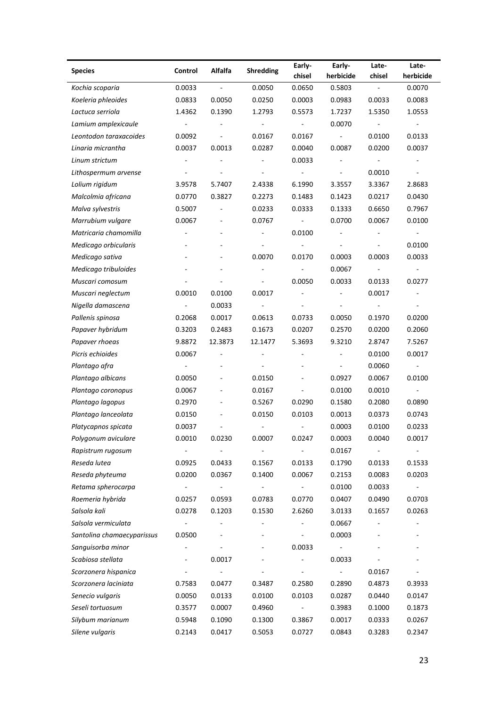| Alfalfa<br><b>Shredding</b><br><b>Species</b><br>Control<br>herbicide<br>herbicide<br>chisel<br>chisel<br>0.0033<br>0.0050<br>0.0650<br>0.5803<br>0.0070<br>Kochia scoparia<br>$\overline{\phantom{a}}$<br>$\blacksquare$<br>0.0833<br>0.0050<br>0.0250<br>0.0003<br>0.0983<br>0.0033<br>0.0083<br>Koeleria phleoides |        |
|-----------------------------------------------------------------------------------------------------------------------------------------------------------------------------------------------------------------------------------------------------------------------------------------------------------------------|--------|
|                                                                                                                                                                                                                                                                                                                       |        |
|                                                                                                                                                                                                                                                                                                                       |        |
|                                                                                                                                                                                                                                                                                                                       |        |
| Lactuca serriola<br>1.4362<br>0.1390<br>1.2793<br>0.5573<br>1.7237<br>1.5350<br>1.0553                                                                                                                                                                                                                                |        |
| 0.0070<br>Lamium amplexicaule<br>$\overline{\phantom{a}}$<br>$\blacksquare$<br>$\overline{\phantom{a}}$<br>$\overline{\phantom{a}}$<br>$\overline{\phantom{a}}$<br>$\overline{a}$                                                                                                                                     |        |
| Leontodon taraxacoides<br>0.0092<br>0.0167<br>0.0167<br>0.0100<br>0.0133<br>$\overline{\phantom{a}}$<br>$\overline{\phantom{a}}$                                                                                                                                                                                      |        |
| Linaria micrantha<br>0.0037<br>0.0013<br>0.0287<br>0.0087<br>0.0200<br>0.0037<br>0.0040                                                                                                                                                                                                                               |        |
| 0.0033<br>Linum strictum                                                                                                                                                                                                                                                                                              |        |
| 0.0010<br>Lithospermum arvense<br>$\blacksquare$<br>$\overline{\phantom{a}}$                                                                                                                                                                                                                                          |        |
| 5.7407<br>2.4338<br>6.1990<br>3.3557<br>3.3367<br>2.8683<br>Lolium rigidum<br>3.9578                                                                                                                                                                                                                                  |        |
| Malcolmia africana<br>0.0770<br>0.3827<br>0.2273<br>0.1483<br>0.0217<br>0.0430<br>0.1423                                                                                                                                                                                                                              |        |
| 0.5007<br>0.0233<br>0.6650<br>0.7967<br>Malva sylvestris<br>0.0333<br>0.1333                                                                                                                                                                                                                                          |        |
| 0.0067<br>Marrubium vulgare<br>0.0067<br>0.0767<br>0.0700<br>0.0100<br>$\blacksquare$                                                                                                                                                                                                                                 |        |
| Matricaria chamomilla<br>0.0100<br>$\blacksquare$                                                                                                                                                                                                                                                                     |        |
| 0.0100<br>Medicago orbicularis<br>×.<br>$\overline{\phantom{a}}$<br>$\sim$                                                                                                                                                                                                                                            |        |
| 0.0070<br>0.0003<br>0.0003<br>0.0033<br>Medicago sativa<br>0.0170                                                                                                                                                                                                                                                     |        |
| 0.0067<br>Medicago tribuloides<br>$\blacksquare$<br>$\overline{\phantom{a}}$<br>$\overline{\phantom{a}}$<br>$\overline{\phantom{a}}$                                                                                                                                                                                  |        |
| Muscari comosum<br>0.0050<br>0.0033<br>0.0133<br>0.0277<br>$\overline{\phantom{a}}$                                                                                                                                                                                                                                   |        |
| 0.0010<br>0.0100<br>0.0017<br>0.0017<br>Muscari neglectum<br>$\overline{\phantom{a}}$<br>$\overline{\phantom{a}}$                                                                                                                                                                                                     |        |
| 0.0033<br>Nigella damascena<br>$\overline{\phantom{a}}$<br>$\overline{\phantom{a}}$<br>$\overline{\phantom{a}}$<br>$\sim$                                                                                                                                                                                             |        |
| 0.2068<br>0.0017<br>0.0613<br>0.0050<br>0.1970<br>0.0200<br>Pallenis spinosa<br>0.0733                                                                                                                                                                                                                                |        |
| 0.3203<br>0.2483<br>0.0207<br>0.2060<br>Papaver hybridum<br>0.1673<br>0.2570<br>0.0200                                                                                                                                                                                                                                |        |
| Papaver rhoeas<br>9.8872<br>12.3873<br>12.1477<br>5.3693<br>9.3210<br>2.8747<br>7.5267                                                                                                                                                                                                                                |        |
| Picris echioides<br>0.0067<br>0.0100<br>0.0017<br>÷,<br>÷                                                                                                                                                                                                                                                             |        |
| Plantago afra<br>0.0060<br>$\overline{\phantom{a}}$<br>$\overline{\phantom{a}}$<br>$\overline{\phantom{a}}$                                                                                                                                                                                                           |        |
| 0.0927<br>0.0067<br>0.0100<br>Plantago albicans<br>0.0050<br>0.0150                                                                                                                                                                                                                                                   |        |
| 0.0067<br>0.0100<br>0.0010<br>Plantago coronopus<br>0.0167<br>$\overline{\phantom{a}}$<br>÷                                                                                                                                                                                                                           |        |
| Plantago lagopus<br>0.2970<br>0.5267<br>0.0290<br>0.1580<br>0.2080<br>0.0890                                                                                                                                                                                                                                          |        |
| Plantago lanceolata<br>0.0150<br>0.0103<br>0.0013<br>0.0373<br>0.0743<br>0.0150                                                                                                                                                                                                                                       |        |
| 0.0037<br>0.0003<br>0.0100<br>0.0233<br>Platycapnos spicata<br>$\overline{\phantom{a}}$<br>$\overline{\phantom{a}}$                                                                                                                                                                                                   |        |
| 0.0010<br>0.0040<br>0.0007<br>0.0247<br>0.0017<br>Polygonum aviculare<br>0.0230<br>0.0003                                                                                                                                                                                                                             |        |
| 0.0167<br>Rapistrum rugosum<br>$\blacksquare$<br>$\overline{\phantom{a}}$<br>$\overline{\phantom{a}}$<br>$\overline{\phantom{a}}$                                                                                                                                                                                     |        |
| 0.0133<br>Reseda lutea<br>0.0925<br>0.0433<br>0.1567<br>0.1790<br>0.0133<br>0.1533                                                                                                                                                                                                                                    |        |
| 0.0203<br>Reseda phyteuma<br>0.0200<br>0.0367<br>0.1400<br>0.0067<br>0.2153<br>0.0083                                                                                                                                                                                                                                 |        |
| Retama spherocarpa<br>0.0100<br>0.0033<br>$\blacksquare$<br>$\overline{\phantom{a}}$<br>$\overline{\phantom{a}}$<br>$\overline{\phantom{a}}$<br>$\overline{\phantom{a}}$                                                                                                                                              |        |
| Roemeria hybrida<br>0.0407<br>0.0490<br>0.0703<br>0.0257<br>0.0593<br>0.0783<br>0.0770                                                                                                                                                                                                                                |        |
| Salsola kali<br>0.1530<br>2.6260<br>3.0133<br>0.0263<br>0.0278<br>0.1203<br>0.1657                                                                                                                                                                                                                                    |        |
| Salsola vermiculata<br>0.0667<br>$\blacksquare$                                                                                                                                                                                                                                                                       |        |
| 0.0003<br>Santolina chamaecyparissus<br>0.0500<br>$\blacksquare$                                                                                                                                                                                                                                                      |        |
| Sanguisorba minor<br>0.0033<br>$\overline{\phantom{a}}$<br>$\overline{\phantom{a}}$<br>$\overline{\phantom{a}}$<br>$\qquad \qquad \blacksquare$                                                                                                                                                                       |        |
| Scabiosa stellata<br>0.0017<br>0.0033<br>$\overline{\phantom{a}}$                                                                                                                                                                                                                                                     |        |
| Scorzonera hispanica<br>0.0167<br>$\overline{\phantom{a}}$<br>$\blacksquare$<br>$\overline{\phantom{a}}$<br>$\overline{\phantom{a}}$                                                                                                                                                                                  |        |
| Scorzonera laciniata<br>0.7583<br>0.0477<br>0.3487<br>0.2580<br>0.2890<br>0.4873<br>0.3933                                                                                                                                                                                                                            |        |
| Senecio vulgaris<br>0.0050<br>0.0133<br>0.0100<br>0.0103<br>0.0287<br>0.0440<br>0.0147                                                                                                                                                                                                                                |        |
| Seseli tortuosum<br>0.3577<br>0.0007<br>0.4960<br>0.3983<br>0.1000<br>0.1873<br>$\blacksquare$                                                                                                                                                                                                                        |        |
| Silybum marianum<br>0.5948<br>0.1090<br>0.3867<br>0.0017<br>0.0333<br>0.0267<br>0.1300                                                                                                                                                                                                                                |        |
|                                                                                                                                                                                                                                                                                                                       | 0.2347 |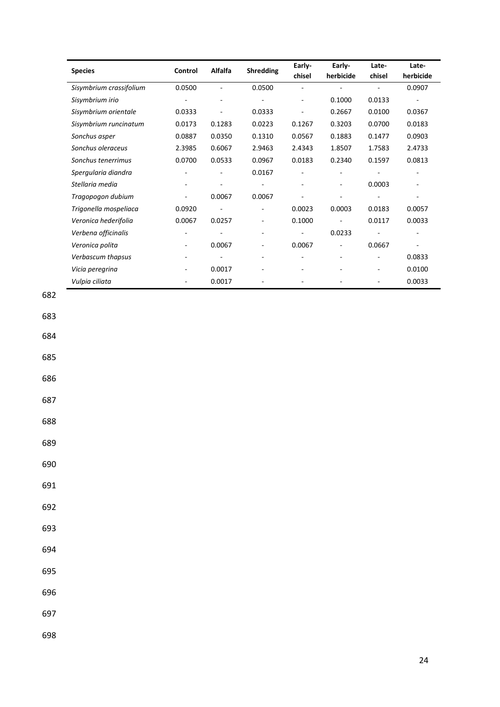|                         |                          |                          |                          | Early- | Early-    | Late-                    | Late-     |
|-------------------------|--------------------------|--------------------------|--------------------------|--------|-----------|--------------------------|-----------|
| <b>Species</b>          | Control                  | Alfalfa                  | <b>Shredding</b>         | chisel | herbicide | chisel                   | herbicide |
| Sisymbrium crassifolium | 0.0500                   |                          | 0.0500                   |        |           |                          | 0.0907    |
| Sisymbrium irio         |                          |                          |                          | ÷      | 0.1000    | 0.0133                   |           |
| Sisymbrium orientale    | 0.0333                   |                          | 0.0333                   |        | 0.2667    | 0.0100                   | 0.0367    |
| Sisymbrium runcinatum   | 0.0173                   | 0.1283                   | 0.0223                   | 0.1267 | 0.3203    | 0.0700                   | 0.0183    |
| Sonchus asper           | 0.0887                   | 0.0350                   | 0.1310                   | 0.0567 | 0.1883    | 0.1477                   | 0.0903    |
| Sonchus oleraceus       | 2.3985                   | 0.6067                   | 2.9463                   | 2.4343 | 1.8507    | 1.7583                   | 2.4733    |
| Sonchus tenerrimus      | 0.0700                   | 0.0533                   | 0.0967                   | 0.0183 | 0.2340    | 0.1597                   | 0.0813    |
| Spergularia diandra     |                          |                          | 0.0167                   |        |           |                          |           |
| Stellaria media         |                          |                          |                          |        |           | 0.0003                   |           |
| Tragopogon dubium       | ٠                        | 0.0067                   | 0.0067                   |        |           |                          |           |
| Trigonella mospeliaca   | 0.0920                   |                          |                          | 0.0023 | 0.0003    | 0.0183                   | 0.0057    |
| Veronica hederifolia    | 0.0067                   | 0.0257                   |                          | 0.1000 |           | 0.0117                   | 0.0033    |
| Verbena officinalis     | $\overline{\phantom{a}}$ |                          | ۰                        |        | 0.0233    | $\overline{\phantom{a}}$ |           |
| Veronica polita         |                          | 0.0067                   | $\overline{\phantom{0}}$ | 0.0067 | ÷,        | 0.0667                   | ٠         |
| Verbascum thapsus       |                          | $\overline{\phantom{a}}$ | ٠                        |        |           | $\overline{\phantom{a}}$ | 0.0833    |
| Vicia peregrina         |                          | 0.0017                   |                          |        |           | ۰                        | 0.0100    |
| Vulpia ciliata          |                          | 0.0017                   |                          |        |           |                          | 0.0033    |

683

684

685

686

687

688

689

690

691

692

693

694

695

696

697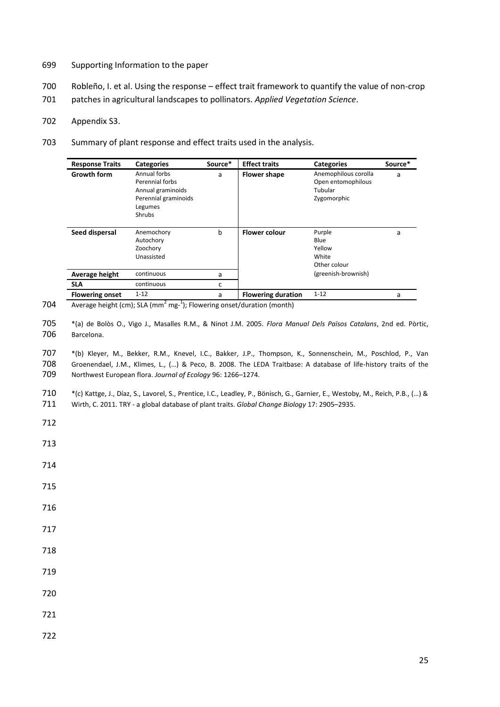- 699 Supporting Information to the paper
- 700 Robleño, I. et al. Using the response effect trait framework to quantify the value of non-crop
- 701 patches in agricultural landscapes to pollinators. *Applied Vegetation Science*.
- 702 Appendix S3.
- 703 Summary of plant response and effect traits used in the analysis.

| <b>Response Traits</b> | <b>Categories</b>                                                                                        | Source* | <b>Effect traits</b>      | <b>Categories</b>                                                    | Source* |
|------------------------|----------------------------------------------------------------------------------------------------------|---------|---------------------------|----------------------------------------------------------------------|---------|
| <b>Growth form</b>     | Annual forbs<br>Perennial forbs<br>Annual graminoids<br>Perennial graminoids<br>Legumes<br><b>Shrubs</b> | a       | <b>Flower shape</b>       | Anemophilous corolla<br>Open entomophilous<br>Tubular<br>Zygomorphic | a       |
| Seed dispersal         | Anemochory<br>Autochory<br>Zoochory<br>Unassisted                                                        | b       | <b>Flower colour</b>      | Purple<br>Blue<br>Yellow<br>White<br>Other colour                    | a       |
| Average height         | continuous                                                                                               | a       |                           | (greenish-brownish)                                                  |         |
| <b>SLA</b>             | continuous                                                                                               | c       |                           |                                                                      |         |
| <b>Flowering onset</b> | $1 - 12$                                                                                                 | a       | <b>Flowering duration</b> | $1 - 12$                                                             | a       |

<sup>704</sup>  $\sqrt{704}$  Average height (cm); SLA (mm<sup>2</sup> mg-<sup>1</sup>); Flowering onset/duration (month)

705 \*(a) de Bolòs O., Vigo J., Masalles R.M., & Ninot J.M. 2005. *Flora Manual Dels Països Catalans*, 2nd ed. Pòrtic, 706 Barcelona.

707 \*(b) Kleyer, M., Bekker, R.M., Knevel, I.C., Bakker, J.P., Thompson, K., Sonnenschein, M., Poschlod, P., Van 708 Groenendael, J.M., Klimes, L., (…) & Peco, B. 2008. The LEDA Traitbase: A database of life-history traits of the 709 Northwest European flora. *Journal of Ecology* 96: 1266–1274.

710 \*(c) Kattge, J., Díaz, S., Lavorel, S., Prentice, I.C., Leadley, P., Bönisch, G., Garnier, E., Westoby, M., Reich, P.B., (…) & 711 Wirth, C. 2011. TRY - a global database of plant traits. *Global Change Biology* 17: 2905–2935.

- 712
- 713
- 714
- 715
- 716
- 717
- 718
- 719
- 720
- 
- 721
- 722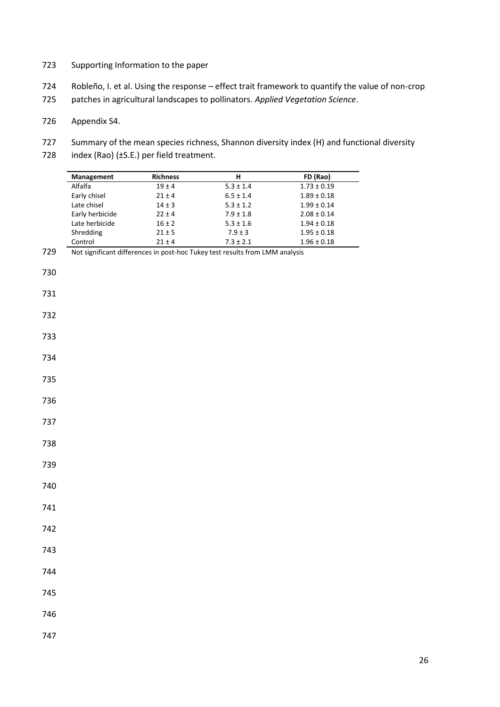- Supporting Information to the paper
- Robleño, I. et al. Using the response effect trait framework to quantify the value of non-crop
- patches in agricultural landscapes to pollinators. *Applied Vegetation Science*.
- Appendix S4.
- 727 Summary of the mean species richness, Shannon diversity index (H) and functional diversity
- 728 index (Rao) (±S.E.) per field treatment.

|     | Management      | Richness   | Н                                                                            | FD (Rao)        |
|-----|-----------------|------------|------------------------------------------------------------------------------|-----------------|
|     | Alfalfa         | $19 \pm 4$ | $5.3 \pm 1.4$                                                                | $1.73\pm0.19$   |
|     | Early chisel    | $21 \pm 4$ | $6.5 \pm 1.4$                                                                | $1.89 \pm 0.18$ |
|     | Late chisel     | $14\pm3$   | $5.3 \pm 1.2$                                                                | $1.99 \pm 0.14$ |
|     | Early herbicide | $22 \pm 4$ | $7.9 \pm 1.8$                                                                | $2.08\pm0.14$   |
|     | Late herbicide  | $16\pm2$   | $5.3 \pm 1.6$                                                                | $1.94 \pm 0.18$ |
|     | Shredding       | $21 \pm 5$ | $7.9 \pm 3$                                                                  | $1.95\pm0.18$   |
|     | Control         | $21\pm4$   | $7.3\pm2.1$                                                                  | $1.96\pm0.18$   |
| 729 |                 |            | Not significant differences in post-hoc Tukey test results from LMM analysis |                 |
|     |                 |            |                                                                              |                 |
| 730 |                 |            |                                                                              |                 |
|     |                 |            |                                                                              |                 |
| 731 |                 |            |                                                                              |                 |
|     |                 |            |                                                                              |                 |
| 732 |                 |            |                                                                              |                 |
|     |                 |            |                                                                              |                 |
|     |                 |            |                                                                              |                 |
| 733 |                 |            |                                                                              |                 |
|     |                 |            |                                                                              |                 |
| 734 |                 |            |                                                                              |                 |
|     |                 |            |                                                                              |                 |
| 735 |                 |            |                                                                              |                 |
|     |                 |            |                                                                              |                 |
| 736 |                 |            |                                                                              |                 |
|     |                 |            |                                                                              |                 |
| 737 |                 |            |                                                                              |                 |
|     |                 |            |                                                                              |                 |
| 738 |                 |            |                                                                              |                 |
|     |                 |            |                                                                              |                 |
|     |                 |            |                                                                              |                 |
|     |                 |            |                                                                              |                 |
|     |                 |            |                                                                              |                 |
| 740 |                 |            |                                                                              |                 |
|     |                 |            |                                                                              |                 |
| 741 |                 |            |                                                                              |                 |
|     |                 |            |                                                                              |                 |
|     |                 |            |                                                                              |                 |
|     |                 |            |                                                                              |                 |
|     |                 |            |                                                                              |                 |
|     |                 |            |                                                                              |                 |
| 744 |                 |            |                                                                              |                 |
|     |                 |            |                                                                              |                 |
|     |                 |            |                                                                              |                 |
|     |                 |            |                                                                              |                 |
|     |                 |            |                                                                              |                 |
| 746 |                 |            |                                                                              |                 |
|     |                 |            |                                                                              |                 |
| 747 |                 |            |                                                                              |                 |